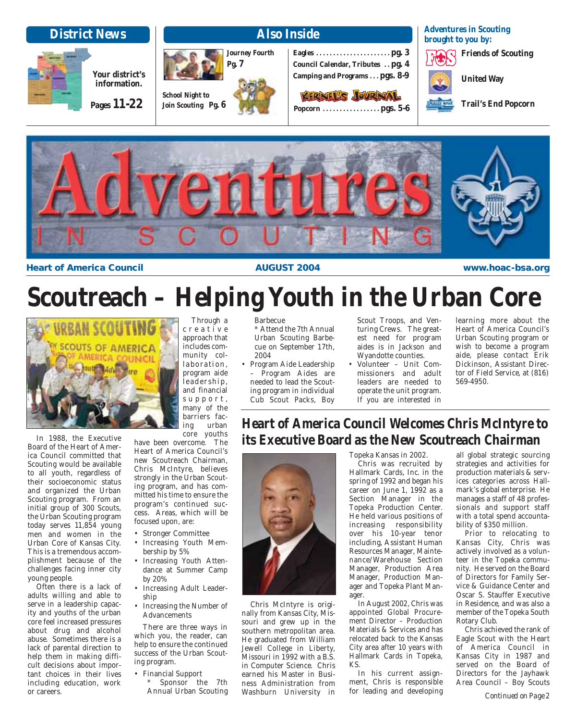



#### **Heart of America Council <b>the Council the AUGUST 2004 www.hoac-bsa.org**

# **Scoutreach – Helping Youth in the Urban Core**



In 1988, the Executive Board of the Heart of America Council committed that Scouting would be available to all youth, regardless of their socioeconomic status and organized the Urban Scouting program. From an initial group of 300 Scouts, the Urban Scouting program today serves 11,854 young men and women in the Urban Core of Kansas City. This is a tremendous accomplishment because of the challenges facing inner city young people.

Often there is a lack of adults willing and able to serve in a leadership capacity and youths of the urban core feel increased pressures about drug and alcohol abuse. Sometimes there is a lack of parental direction to help them in making difficult decisions about important choices in their lives including education, work or careers.

core youths have been overcome. The Heart of America Council's new Scoutreach Chairman, Chris McIntyre, believes strongly in the Urban Scouting program, and has committed his time to ensure the program's continued success. Areas, which will be focused upon, are:

- Stronger Committee
- Increasing Youth Membership by 5%
- Increasing Youth Attendance at Summer Camp by 20%
- Increasing Adult Leadership
- Increasing the Number of Advancements

There are three ways in which you, the reader, can help to ensure the continued success of the Urban Scouting program.

- Financial Support
	- Sponsor the 7th Annual Urban Scouting

#### Through a Barbecue

creative approach that includes community collaboration, program aide leadership, and financial support, many of the barriers facing urban

\* Attend the 7th Annual Urban Scouting Barbecue on September 17th, 2004

• Program Aide Leadership – Program Aides are needed to lead the Scouting program in individual Cub Scout Packs, Boy Scout Troops, and Venturing Crews. The greatest need for program aides is in Jackson and Wyandotte counties.

• Volunteer – Unit Commissioners and adult leaders are needed to operate the unit program. If you are interested in

learning more about the Heart of America Council's Urban Scouting program or wish to become a program aide, please contact Erik Dickinson, Assistant Director of Field Service, at (816) 569-4950.

## **Heart of America Council Welcomes Chris McIntyre to its Executive Board as the New Scoutreach Chairman**



Chris McIntyre is originally from Kansas City, Missouri and grew up in the southern metropolitan area. He graduated from William Jewell College in Liberty, Missouri in 1992 with a B.S. in Computer Science. Chris earned his Master in Business Administration from Washburn University in Topeka Kansas in 2002.

Chris was recruited by Hallmark Cards, Inc. in the spring of 1992 and began his career on June 1, 1992 as a Section Manager in the Topeka Production Center. He held various positions of increasing responsibility over his 10-year tenor including, Assistant Human Resources Manager, Maintenance/Warehouse Section Manager, Production Area Manager, Production Manager and Topeka Plant Manager.

In August 2002, Chris was appointed Global Procurement Director – Production Materials & Services and has relocated back to the Kansas City area after 10 years with Hallmark Cards in Topeka, KS.

In his current assignment, Chris is responsible for leading and developing

all global strategic sourcing strategies and activities for production materials & services categories across Hallmark's global enterprise. He manages a staff of 48 professionals and support staff with a total spend accountability of \$350 million.

Prior to relocating to Kansas City, Chris was actively involved as a volunteer in the Topeka community. He served on the Board of Directors for Family Service & Guidance Center and Oscar S. Stauffer Executive in Residence, and was also a member of the Topeka South Rotary Club.

Chris achieved the rank of Eagle Scout with the Heart of America Council in Kansas City in 1987 and served on the Board of Directors for the Jayhawk Area Council – Boy Scouts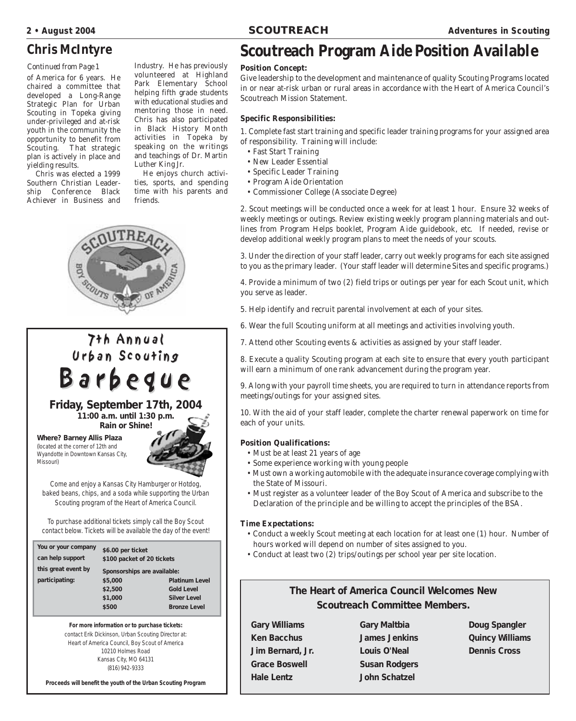#### *Continued from Page 1*

of America for 6 years. He chaired a committee that developed a Long-Range Strategic Plan for Urban Scouting in Topeka giving under-privileged and at-risk youth in the community the opportunity to benefit from Scouting. That strategic plan is actively in place and yielding results.

Chris was elected a 1999 Southern Christian Leadership Conference Black Achiever in Business and

Industry. He has previously volunteered at Highland Park Elementary School helping fifth grade students with educational studies and mentoring those in need. Chris has also participated in Black History Month activities in Topeka by speaking on the writings and teachings of Dr. Martin Luther King Jr.

He enjoys church activities, sports, and spending time with his parents and friends.



# 7th Annual 7th Annual Urban Scouting Barbeque Barbeque

**Friday, September 17th, 2004 11:00 a.m. until 1:30 p.m. Rain or Shine!**

**Where? Barney Allis Plaza** (located at the corner of 12th and Wyandotte in Downtown Kansas City, Missouri)



Come and enjoy a Kansas City Hamburger or Hotdog, baked beans, chips, and a soda while supporting the Urban Scouting program of the Heart of America Council.

To purchase additional tickets simply call the Boy Scout contact below. Tickets will be available the day of the event!

| You or your company | \$6.00 per ticket           |                       |  |
|---------------------|-----------------------------|-----------------------|--|
| can help support    | \$100 packet of 20 tickets  |                       |  |
| this great event by | Sponsorships are available: |                       |  |
| participating:      | \$5,000                     | <b>Platinum Level</b> |  |
|                     | \$2,500                     | <b>Gold Level</b>     |  |
|                     | \$1,000                     | <b>Silver Level</b>   |  |
|                     | \$500                       | <b>Bronze Level</b>   |  |
|                     |                             |                       |  |

**For more information or to purchase tickets:** contact Erik Dickinson, Urban Scouting Director at: Heart of America Council, Boy Scout of America 10210 Holmes Road Kansas City, MO 64131 (816) 942-9333

**Proceeds will benefit the youth of the Urban Scouting Program**

## **Chris McIntyre Scoutreach Program Aide Position Available**

#### **Position Concept:**

Give leadership to the development and maintenance of quality Scouting Programs located in or near at-risk urban or rural areas in accordance with the Heart of America Council's Scoutreach Mission Statement.

#### **Specific Responsibilities:**

1. Complete fast start training and specific leader training programs for your assigned area of responsibility. Training will include:

- Fast Start Training
- New Leader Essential
- Specific Leader Training
- Program Aide Orientation
- Commissioner College (Associate Degree)

2. Scout meetings will be conducted once a week for at least 1 hour. Ensure 32 weeks of weekly meetings or outings. Review existing weekly program planning materials and outlines from Program Helps booklet, Program Aide guidebook, etc. If needed, revise or develop additional weekly program plans to meet the needs of your scouts.

3. Under the direction of your staff leader, carry out weekly programs for each site assigned to you as the primary leader. (Your staff leader will determine Sites and specific programs.)

4. Provide a minimum of two (2) field trips or outings per year for each Scout unit, which you serve as leader.

- 5. Help identify and recruit parental involvement at each of your sites.
- 6. Wear the full Scouting uniform at all meetings and activities involving youth.
- 7. Attend other Scouting events & activities as assigned by your staff leader.

8. Execute a quality Scouting program at each site to ensure that every youth participant will earn a minimum of one rank advancement during the program year.

9. Along with your payroll time sheets, you are required to turn in attendance reports from meetings/outings for your assigned sites.

10. With the aid of your staff leader, complete the charter renewal paperwork on time for each of your units.

#### **Position Qualifications:**

- Must be at least 21 years of age
- Some experience working with young people
- Must own a working automobile with the adequate insurance coverage complying with the State of Missouri.
- Must register as a volunteer leader of the Boy Scout of America and subscribe to the Declaration of the principle and be willing to accept the principles of the BSA.

#### **Time Expectations:**

- Conduct a weekly Scout meeting at each location for at least one (1) hour. Number of hours worked will depend on number of sites assigned to you.
- Conduct at least two (2) trips/outings per school year per site location.

## **The Heart of America Council Welcomes New Scoutreach Committee Members.**

| <b>Gary Williams</b> | <b>Gary Maltbia</b>  | <b>Doug Spangler</b>   |
|----------------------|----------------------|------------------------|
| <b>Ken Bacchus</b>   | <b>James Jenkins</b> | <b>Quincy Williams</b> |
| Jim Bernard, Jr.     | <b>Louis O'Neal</b>  | <b>Dennis Cross</b>    |
| <b>Grace Boswell</b> | <b>Susan Rodgers</b> |                        |
| <b>Hale Lentz</b>    | <b>John Schatzel</b> |                        |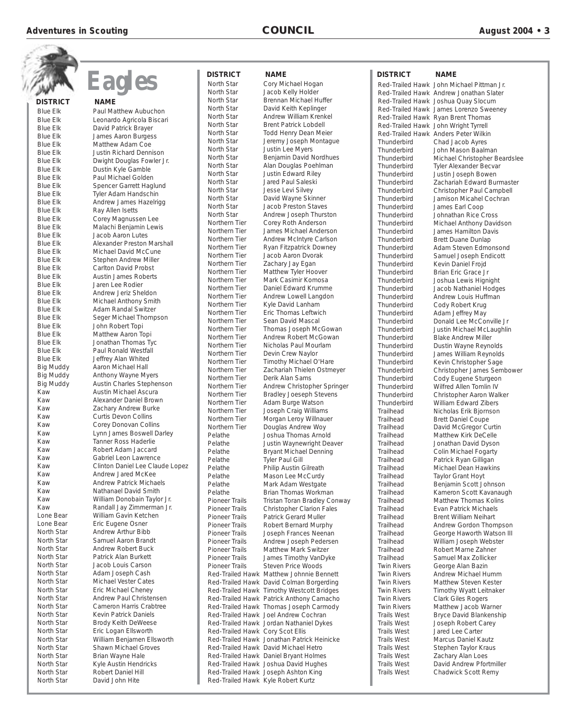**Eagles**

| <b>DISTRICT</b>                    | NAME                                                        |
|------------------------------------|-------------------------------------------------------------|
| <b>Blue Elk</b>                    | Paul Matthew Aubuchon                                       |
| <b>Blue Elk</b>                    | Leonardo Agricola Biscari                                   |
| <b>Blue Elk</b>                    | David Patrick Brayer                                        |
| <b>Blue Elk</b>                    | James Aaron Burgess                                         |
| <b>Blue Elk</b>                    | Matthew Adam Coe                                            |
| <b>Blue Elk</b>                    | Justin Richard Dennison                                     |
| <b>Blue Elk</b>                    | Dwight Douglas Fowler Jr.                                   |
| <b>Blue Elk</b><br><b>Blue Elk</b> | Dustin Kyle Gamble<br>Paul Michael Golden                   |
| <b>Blue Elk</b>                    | Spencer Garrett Haglund                                     |
| <b>Blue Elk</b>                    | Tyler Adam Handschin                                        |
| <b>Blue Elk</b>                    | Andrew James Hazelrigg                                      |
| <b>Blue Elk</b>                    | Ray Allen Isetts                                            |
| <b>Blue Elk</b>                    | Corey Magnussen Lee                                         |
| <b>Blue Elk</b>                    | Malachi Benjamin Lewis                                      |
| <b>Blue Elk</b>                    | Jacob Aaron Lutes                                           |
| <b>Blue Elk</b>                    | Alexander Preston Marshall                                  |
| <b>Blue Elk</b><br><b>Blue Elk</b> | Michael David McCune                                        |
| <b>Blue Elk</b>                    | <b>Stephen Andrew Miller</b><br><b>Carlton David Probst</b> |
| <b>Blue Elk</b>                    | <b>Austin James Roberts</b>                                 |
| <b>Blue Elk</b>                    | Jaren Lee Rodier                                            |
| <b>Blue Elk</b>                    | Andrew Jeriz Sheldon                                        |
| <b>Blue Elk</b>                    | Michael Anthony Smith                                       |
| <b>Blue Elk</b>                    | <b>Adam Randal Switzer</b>                                  |
| <b>Blue Elk</b>                    | Seger Michael Thompson                                      |
| <b>Blue Elk</b>                    | John Robert Topi                                            |
| <b>Blue Elk</b>                    | Matthew Aaron Topi                                          |
| <b>Blue Elk</b><br><b>Blue Elk</b> | Jonathan Thomas Tyc<br>Paul Ronald Westfall                 |
| <b>Blue Elk</b>                    | Jeffrey Alan Whited                                         |
| <b>Big Muddy</b>                   | Aaron Michael Hall                                          |
| <b>Big Muddy</b>                   | Anthony Wayne Myers                                         |
| <b>Big Muddy</b>                   | Austin Charles Stephenson                                   |
| Kaw                                | <b>Austin Michael Ascura</b>                                |
| Kaw                                | Alexander Daniel Brown                                      |
| Kaw                                | Zachary Andrew Burke                                        |
| Kaw                                | <b>Curtis Devon Collins</b>                                 |
| Kaw<br>Kaw                         | Corey Donovan Collins<br>Lynn James Boswell Darley          |
| Kaw                                | Tanner Ross Haderlie                                        |
| Kaw                                | Robert Adam Jaccard                                         |
| Kaw                                | Gabriel Leon Lawrence                                       |
| Kaw                                | Clinton Daniel Lee Claude Lopez                             |
| Kaw                                | Andrew Jared McKee                                          |
| Kaw                                | <b>Andrew Patrick Michaels</b>                              |
| Kaw                                | Nathanael David Smith                                       |
| Kaw<br>Kaw                         | William Donobain Taylor Jr.<br>Randall Jay Zimmerman Jr.    |
| Lone Bear                          | William Gavin Ketchen                                       |
| Lone Bear                          | Eric Eugene Osner                                           |
| North Star                         | Andrew Arthur Bibb                                          |
| North Star                         | Samuel Aaron Brandt                                         |
| North Star                         | <b>Andrew Robert Buck</b>                                   |
| North Star                         | Patrick Alan Burkett                                        |
| North Star                         | Jacob Louis Carson                                          |
| North Star                         | Adam Joseph Cash                                            |
| North Star<br>North Star           | Michael Vester Cates<br>Eric Michael Cheney                 |
| North Star                         | <b>Andrew Paul Christensen</b>                              |
| North Star                         | <b>Cameron Harris Crabtree</b>                              |
| North Star                         | Kevin Patrick Daniels                                       |
| North Star                         | Brody Keith DeWeese                                         |
| North Star                         | Eric Logan Ellsworth                                        |
| North Star                         | William Benjamen Ellsworth                                  |
| North Star                         | Shawn Michael Groves                                        |
| North Star                         | Brian Wayne Hale                                            |
| North Star<br>North Star           | Kyle Austin Hendricks<br>Robert Daniel Hill                 |
| North Star                         | David John Hite                                             |

| <b>DISTRICT</b>         | <b>NAME</b>                   |
|-------------------------|-------------------------------|
| North Star              | Cory Michael Hogan            |
| North Star              |                               |
|                         | Jacob Kelly Holder            |
| North Star              | <b>Brennan Michael Huffer</b> |
| North Star              | David Keith Keplinger         |
| North Star              | Andrew William Krenkel        |
| North Star              | <b>Brent Patrick Lobdell</b>  |
| North Star              | Todd Henry Dean Meier         |
| North Star              | Jeremy Joseph Montag          |
|                         |                               |
| North Star              | Justin Lee Myers              |
| North Star              | Benjamin David Nordhu         |
| North Star              | Alan Douglas Poehlman         |
| North Star              | Justin Edward Riley           |
| North Star              | Jared Paul Saleski            |
| North Star              | Jesse Levi Silvey             |
| North Star              | David Wayne Skinner           |
| North Star              | Jacob Preston Staves          |
|                         |                               |
| North Star              | Andrew Joseph Thursto         |
| Northern Tier           | Corey Roth Anderson           |
| Northern Tier           | James Michael Anderso         |
| Northern Tier           | Andrew McIntyre Carlso        |
| Northern Tier           | Ryan Fitzpatrick Downe        |
| Northern Tier           | Jacob Aaron Dvorak            |
| Northern Tier           | Zachary Jay Egan              |
| Northern Tier           | Matthew Tyler Hoover          |
| Northern Tier           | Mark Casimir Komosa           |
|                         |                               |
| Northern Tier           | Daniel Edward Krumme          |
| Northern Tier           | Andrew Lowell Langdon         |
| Northern Tier           | Kyle David Lanham             |
| Northern Tier           | Eric Thomas Leftwich          |
| Northern Tier           | Sean David Mascal             |
| Northern Tier           | Thomas Joseph McGov           |
| Northern Tier           | Andrew Robert McGowa          |
| Northern Tier           | Nicholas Paul Mourlam         |
| Northern Tier           |                               |
| Northern Tier           | Devin Crew Naylor             |
|                         | Timothy Michael O'Hare        |
| Northern Tier           | Zachariah Thielen Ostm        |
| Northern Tier           | Derik Alan Sams               |
| Northern Tier           | Andrew Christopher Spr        |
| Northern Tier           | <b>Bradley Joeseph Stever</b> |
| Northern Tier           | Adam Burge Watson             |
| Northern Tier           | Joseph Craig Williams         |
| Northern Tier           | Morgan Leroy Willnauer        |
| Northern Tier           | Douglas Andrew Woy            |
| Pelathe                 | Joshua Thomas Arnold          |
|                         |                               |
| Pelathe                 | Justin Waynewright Dea        |
| Pelathe                 | <b>Bryant Michael Denning</b> |
| Pelathe                 | <b>Tyler Paul Gill</b>        |
| Pelathe                 | Philip Austin Gilreath        |
| Pelathe                 | Mason Lee McCurdy             |
| Pelathe                 | Mark Adam Westgate            |
| Pelathe                 | Brian Thomas Workman          |
| <b>Pioneer Trails</b>   | Tristan Toran Bradley Co      |
| Pioneer Trails          | Christopher Clarion Fale      |
| Pioneer Trails          | <b>Patrick Gerard Muller</b>  |
|                         |                               |
| Pioneer Trails          | Robert Bernard Murphy         |
| <b>Pioneer Trails</b>   | Joseph Frances Neenar         |
| <b>Pioneer Trails</b>   | Andrew Joseph Pederse         |
| <b>Pioneer Trails</b>   | Matthew Mark Switzer          |
| <b>Pioneer Trails</b>   | James Timothy VanDyke         |
| <b>Pioneer Trails</b>   | <b>Steven Price Woods</b>     |
| <b>Red-Trailed Hawk</b> | Matthew Johnnie Benne         |
| Red-Trailed Hawk        | David Colman Borgerdir        |
| <b>Red-Trailed Hawk</b> | Timothy Westcott Bridge       |
| <b>Red-Trailed Hawk</b> |                               |
|                         | Patrick Anthony Camac         |
| Red-Trailed Hawk        | Thomas Joseph Carmor          |
| Red-Trailed Hawk        | Joel Andrew Cochran           |
| Red-Trailed Hawk        | Jordan Nathaniel Dykes        |
| Red-Trailed Hawk        | Cory Scot Ellis               |
| Red-Trailed Hawk        | Jonathan Patrick Heinic       |
| <b>Red-Trailed Hawk</b> | David Michael Hetro           |
| <b>Red-Trailed Hawk</b> | Daniel Bryant Holmes          |
| Red-Trailed Hawk        | Joshua David Hughes           |
| Red-Trailed Hawk        | Joseph Ashton King            |
| Red-Trailed Hawk        | Kyle Robert Kurtz             |
|                         |                               |

**DISTRICT NAME DISTRICT NAME** Hogan hael Huffer eplinger Lobdell oh Montague id Nordhues Poehlman d Riley aleski Ivey Skinner n Staves ph Thurston nderson el Anderson tyre Carlson ick Downey Dvorak igan Hoover Komosa d Krumme II Langdon nham Leftwich 1ascal ph McGowan rt McGowan Mourlam laylor ael O'Hare elen Ostmeyer topher Springer eph Stevens Watson Williams Willnauer ew Woy as Arnold wright Deaver el Denning Gilreath cCurdy Vestgate Workman Bradley Conway Clarion Fales d Muller rd Murphy es Neenan ph Pedersen k Switzer ny VanDyke Woods nnie Bennett **Borgerding** tcott Bridges ny Camacho ph Carmody .<br>Cochran niel Dykes rick Heinicke **Hetro** Holmes n King

| <b>DISTRICT</b>                                    | NAME                                                 |
|----------------------------------------------------|------------------------------------------------------|
| Red-Trailed Hawk                                   | John Michael Pittman Jr.                             |
| <b>Red-Trailed Hawk</b>                            | Andrew Jonathan Slater                               |
| <b>Red-Trailed Hawk</b>                            | Joshua Quay Slocum                                   |
| <b>Red-Trailed Hawk</b>                            | James Lorenzo Sweeney                                |
| <b>Red-Trailed Hawk</b>                            | Ryan Brent Thomas                                    |
| <b>Red-Trailed Hawk</b><br><b>Red-Trailed Hawk</b> | John Wright Tyrrell<br><b>Anders Peter Wilkin</b>    |
| Thunderbird                                        | Chad Jacob Ayres                                     |
| Thunderbird                                        | John Mason Baalman                                   |
| Thunderbird                                        | Michael Christopher Beardslee                        |
| Thunderbird                                        | Tyler Alexander Becvar                               |
| Thunderbird                                        | Justin Joseph Bowen                                  |
| Thunderbird                                        | Zachariah Edward Burmaster                           |
| Thunderbird<br>Thunderbird                         | Christopher Paul Campbell<br>Jamison Micahel Cochran |
| Thunderbird                                        | James Earl Coop                                      |
| Thunderbird                                        | Johnathan Rice Cross                                 |
| Thunderbird                                        | Michael Anthony Davidson                             |
| Thunderbird                                        | <b>James Hamilton Davis</b>                          |
| Thunderbird                                        | <b>Brett Duane Dunlap</b>                            |
| Thunderbird                                        | Adam Steven Edmonsond                                |
| Thunderbird                                        | Samuel Joseph Endicott                               |
| Thunderbird<br>Thunderbird                         | Kevin Daniel Frojd<br><b>Brian Eric Grace Jr</b>     |
| Thunderbird                                        | Joshua Lewis Hignight                                |
| Thunderbird                                        | Jacob Nathaniel Hodges                               |
| Thunderbird                                        | Andrew Louis Huffman                                 |
| Thunderbird                                        | Cody Robert Krug                                     |
| Thunderbird                                        | Adam Jeffrey May                                     |
| Thunderbird                                        | Donald Lee McConville Jr                             |
| Thunderbird                                        | Justin Michael McLaughlin                            |
| Thunderbird                                        | <b>Blake Andrew Miller</b>                           |
| Thunderbird<br>Thunderbird                         | Dustin Wayne Reynolds<br>James William Reynolds      |
| Thunderbird                                        | Kevin Christopher Sage                               |
| Thunderbird                                        | Christopher James Sembower                           |
| Thunderbird                                        | Cody Eugene Sturgeon                                 |
| Thunderbird                                        | Wilfred Allen Tomlin IV                              |
| Thunderbird                                        | Christopher Aaron Walker                             |
| Thunderbird                                        | William Edward Zibers                                |
| Trailhead<br>Trailhead                             | Nicholas Erik Bjornson<br><b>Brett Daniel Coupe</b>  |
| Trailhead                                          | David McGregor Curtin                                |
| <b>Trailhead</b>                                   | <b>Matthew Kirk DeCelle</b>                          |
| Trailhead                                          | Jonathan David Dyson                                 |
| Trailhead                                          | Colin Michael Fogarty                                |
| Trailhead                                          | Patrick Ryan Gilligan                                |
| Trailhead                                          | Michael Dean Hawkins                                 |
| Trailhead                                          | <b>Tavlor Grant Hovt</b>                             |
| Trailhead<br>Trailhead                             | Benjamin Scott Johnson<br>Kameron Scott Kavanaugh    |
| Trailhead                                          | <b>Matthew Thomas Kolins</b>                         |
| Trailhead                                          | <b>Evan Patrick Michaels</b>                         |
| Trailhead                                          | <b>Brent William Neihart</b>                         |
| Trailhead                                          | Andrew Gordon Thompson                               |
| Trailhead                                          | George Haworth Watson III                            |
| Trailhead                                          | William Joseph Webster                               |
| Trailhead                                          | Robert Marne Zahner                                  |
| Trailhead<br><b>Twin Rivers</b>                    | Samuel Max Zollicker<br>George Alan Bazin            |
| <b>Twin Rivers</b>                                 | Andrew Michael Humm                                  |
| <b>Twin Rivers</b>                                 | <b>Matthew Steven Kester</b>                         |
| <b>Twin Rivers</b>                                 | Timothy Wyatt Leitnaker                              |
| <b>Twin Rivers</b>                                 | <b>Clark Giles Rogers</b>                            |
| <b>Twin Rivers</b>                                 | Matthew Jacob Warner                                 |
| <b>Trails West</b>                                 | Bryce David Blankenship                              |
| <b>Trails West</b>                                 | Joseph Robert Carey                                  |
| <b>Trails West</b><br><b>Trails West</b>           | <b>Jared Lee Carter</b><br>Marcus Daniel Kautz       |
| <b>Trails West</b>                                 | Stephen Taylor Kraus                                 |
| <b>Trails West</b>                                 | Zachary Alan Loes                                    |
| <b>Trails West</b>                                 | David Andrew Pfortmiller                             |
| <b>Trails West</b>                                 | Chadwick Scott Remy                                  |
|                                                    |                                                      |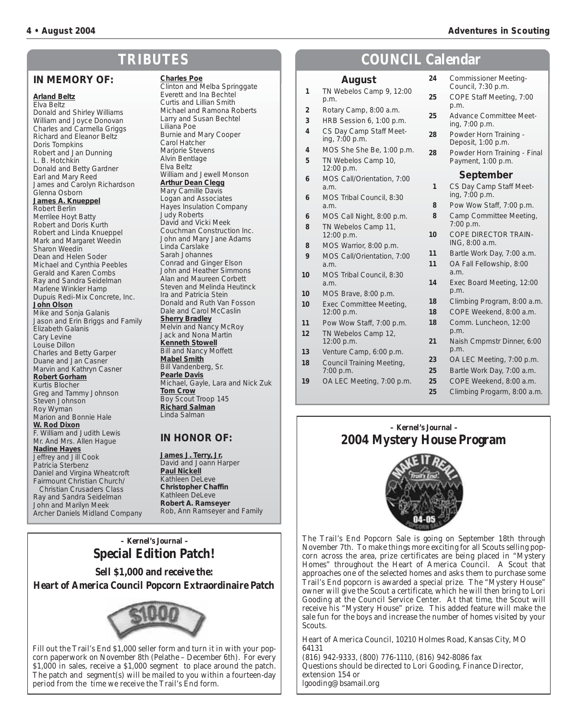## **TRIBUTES**

#### **IN MEMORY OF:**

#### **Arland Beltz** Elva Beltz

Donald and Shirley Williams William and Joyce Donovan Charles and Carmella Griggs Richard and Eleanor Beltz Doris Tompkins Robert and Jan Dunning L. B. Hotchkin Donald and Betty Gardner Earl and Mary Reed James and Carolyn Richardson Glenna Osborn **James A. Knueppel** Robert Berlin Merrilee Hoyt Batty Robert and Doris Kurth Robert and Linda Knueppel Mark and Margaret Weedin Sharon Weedin Dean and Helen Soder Michael and Cynthia Peebles Gerald and Karen Combs Ray and Sandra Seidelman Marlene Winkler Hamp Dupuis Redi-Mix Concrete, Inc. **John Olson** Mike and Sonja Galanis Jason and Erin Briggs and Family Elizabeth Galanis Cary Levine Louise Dillon Charles and Betty Garper Duane and Jan Casner Marvin and Kathryn Casner **Robert Gorham** Kurtis Blocher Greg and Tammy Johnson Steven Johnson Roy Wyman Marion and Bonnie Hale **W. Rod Dixon** F. William and Judith Lewis Mr. And Mrs. Allen Hague **Nadine Hayes** Jeffrey and Jill Cook Patricia Sterbenz Daniel and Virgina Wheatcroft Fairmount Christian Church/ Christian Crusaders Class Ray and Sandra Seidelman John and Marilyn Meek Archer Daniels Midland Company

**Charles Poe** Clinton and Melba Springgate Everett and Ina Bechtel Curtis and Lillian Smith Michael and Ramona Roberts Larry and Susan Bechtel Liliana Poe Burnie and Mary Cooper Carol Hatcher Marjorie Stevens Alvin Bentlage Elva Beltz William and Jewell Monson **Arthur Dean Clegg** Mary Camille Davis Logan and Associates Hayes Insulation Company Judy Roberts David and Vicki Meek Couchman Construction Inc. John and Mary Jane Adams Linda Carslake Sarah Johannes Conrad and Ginger Elson John and Heather Simmons Alan and Maureen Corbett Steven and Melinda Heutinck Ira and Patricia Stein Donald and Ruth Van Fosson Dale and Carol McCaslin **Sherry Bradley** Melvin and Nancy McRoy Jack and Nona Martin **Kenneth Stowell** Bill and Nancy Moffett **Mabel Smith** Bill Vandenberg, Sr. **Pearle Davis** Michael, Gayle, Lara and Nick Zuk **Tom Crow** Boy Scout Troop 145 **Richard Salman** Linda Salman

#### **IN HONOR OF:**

**James J. Terry, Jr.** David and Joann Harper **Paul Nickell** Kathleen DeLeve **Christopher Chaffin** Kathleen DeLeve **Robert A. Ramseyer** Rob, Ann Ramseyer and Family

#### **– Kernel's Journal – Special Edition Patch!**

**Sell \$1,000 and receive the: Heart of America Council Popcorn Extraordinaire Patch**



Fill out the Trail's End \$1,000 seller form and turn it in with your popcorn paperwork on November 8th (Pelathe – December 6th). For every \$1,000 in sales, receive a \$1,000 segment to place around the patch. The patch and segment(s) will be mailed to you within a fourteen-day period from the time we receive the Trail's End form.

## **COUNCIL Calendar**

#### **August**

| 1  | TN Webelos Camp 9, 12:00<br>p.m.          | 25       |
|----|-------------------------------------------|----------|
| 2  | Rotary Camp, 8:00 a.m.                    |          |
| 3  | HRB Session 6, 1:00 p.m.                  | 25       |
| 4  | CS Day Camp Staff Meet-<br>ing, 7:00 p.m. | 28       |
| 4  | MOS She She Be, 1:00 p.m.                 | 28       |
| 5  | TN Webelos Camp 10,<br>12:00 p.m.         |          |
| 6  | MOS Call/Orientation, 7:00<br>a.m.        | 1        |
| 6  | MOS Tribal Council, 8:30<br>a.m.          | 8        |
| 6  | MOS Call Night, 8:00 p.m.                 | 8        |
| 8  | TN Webelos Camp 11,<br>12:00 p.m.         | 10       |
| 8  | MOS Warrior, 8:00 p.m.                    |          |
| 9  | MOS Call/Orientation, 7:00<br>a.m.        | 11<br>11 |
| 10 | MOS Tribal Council, 8:30<br>a.m.          | 14       |
| 10 | MOS Brave, 8:00 p.m.                      |          |
| 10 | Exec Committee Meeting,<br>12:00 p.m.     | 18<br>18 |
| 11 | Pow Wow Staff, 7:00 p.m.                  | 18       |
| 12 | TN Webelos Camp 12,<br>12:00 p.m.         | 21       |
| 13 | Venture Camp, 6:00 p.m.                   |          |
| 18 | Council Training Meeting,<br>7:00 p.m.    | 23<br>25 |

**19** OA LEC Meeting, 7:00 p.m.

Council, 7:30 p.m. **25** COPE Staff Meeting, 7:00 p.m. **25** Advance Committee Meeting, 7:00 p.m. **28** Powder Horn Training - Deposit, 1:00 p.m. Powder Horn Training - Final Payment, 1:00 p.m. **September**

**24** Commissioner Meeting-

- **1** CS Day Camp Staff Meeting, 7:00 p.m.
- **8** Pow Wow Staff, 7:00 p.m. **8** Camp Committee Meeting, 7:00 p.m.
- **10** COPE DIRECTOR TRAIN-
- ING, 8:00 a.m. Bartle Work Day, 7:00 a.m.
- **11** OA Fall Fellowship, 8:00 a.m.
- Exec Board Meeting, 12:00 p.m.
- **18** Climbing Program, 8:00 a.m.
- **18** COPE Weekend, 8:00 a.m. **18** Comm. Luncheon, 12:00
- p.m. **21** Naish Cmpmstr Dinner, 6:00 p.m.
- **23** OA LEC Meeting, 7:00 p.m.
- **25** Bartle Work Day, 7:00 a.m.
- **25** COPE Weekend, 8:00 a.m.
- **25** Climbing Progarm, 8:00 a.m.

## **– Kernel's Journal – 2004 Mystery House Program**



The Trail's End Popcorn Sale is going on September 18th through November 7th. To make things more exciting for all Scouts selling popcorn across the area, prize certificates are being placed in "Mystery Homes" throughout the Heart of America Council. A Scout that approaches one of the selected homes and asks them to purchase some Trail's End popcorn is awarded a special prize. The "Mystery House" owner will give the Scout a certificate, which he will then bring to Lori Gooding at the Council Service Center. At that time, the Scout will receive his "Mystery House" prize. This added feature will make the sale fun for the boys and increase the number of homes visited by your Scouts.

Heart of America Council, 10210 Holmes Road, Kansas City, MO 64131

(816) 942-9333, (800) 776-1110, (816) 942-8086 fax Questions should be directed to Lori Gooding, Finance Director, extension 154 or lgooding@bsamail.org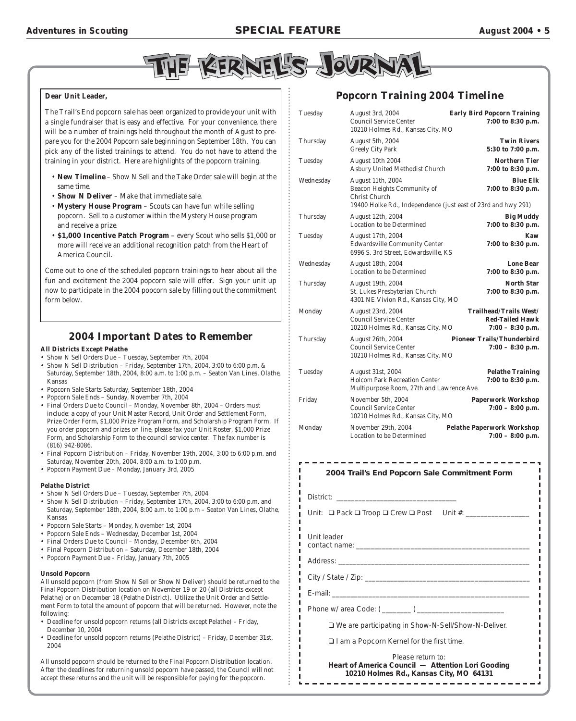

#### **Dear Unit Leader,**

The Trail's End popcorn sale has been organized to provide your unit with a single fundraiser that is easy and effective. For your convenience, there will be a number of trainings held throughout the month of Agust to prepare you for the 2004 Popcorn sale beginning on September 18th. You can pick any of the listed trainings to attend. You do not have to attend the training in your district. Here are highlights of the popcorn training.

- **New Timeline** Show N Sell and the Take Order sale will begin at the same time.
- **Show N Deliver** Make that immediate sale.
- **Mystery House Program** Scouts can have fun while selling popcorn. Sell to a customer within the Mystery House program and receive a prize.
- **\$1,000 Incentive Patch Program** every Scout who sells \$1,000 or more will receive an additional recognition patch from the Heart of America Council.

Come out to one of the scheduled popcorn trainings to hear about all the fun and excitement the 2004 popcorn sale will offer. Sign your unit up now to participate in the 2004 popcorn sale by filling out the commitment form below.

#### **2004 Important Dates to Remember**

#### **All Districts Except Pelathe**

- Show N Sell Orders Due Tuesday, September 7th, 2004
- Show N Sell Distribution Friday, September 17th, 2004, 3:00 to 6:00 p.m. & Saturday, September 18th, 2004, 8:00 a.m. to 1:00 p.m. – Seaton Van Lines, Olathe, Kansas
- Popcorn Sale Starts Saturday, September 18th, 2004
- Popcorn Sale Ends Sunday, November 7th, 2004
- Final Orders Due to Council Monday, November 8th, 2004 Orders must include: a copy of your Unit Master Record, Unit Order and Settlement Form, Prize Order Form, \$1,000 Prize Program Form, and Scholarship Program Form. If you order popcorn and prizes on line, please fax your Unit Roster, \$1,000 Prize Form, and Scholarship Form to the council service center. The fax number is (816) 942-8086.
- Final Popcorn Distribution Friday, November 19th, 2004, 3:00 to 6:00 p.m. and Saturday, November 20th, 2004, 8:00 a.m. to 1:00 p.m.
- Popcorn Payment Due Monday, January 3rd, 2005

#### **Pelathe District**

- Show N Sell Orders Due Tuesday, September 7th, 2004
- Show N Sell Distribution Friday, September 17th, 2004, 3:00 to 6:00 p.m. and Saturday, September 18th, 2004, 8:00 a.m. to 1:00 p.m – Seaton Van Lines, Olathe, Kansas
- Popcorn Sale Starts Monday, November 1st, 2004
- Popcorn Sale Ends Wednesday, December 1st, 2004
- Final Orders Due to Council Monday, December 6th, 2004
- Final Popcorn Distribution Saturday, December 18th, 2004
- Popcorn Payment Due Friday, January 7th, 2005

#### **Unsold Popcorn**

All unsold popcorn (from Show N Sell or Show N Deliver) should be returned to the Final Popcorn Distribution location on November 19 or 20 (all Districts except Pelathe) or on December 18 (Pelathe District). Utilize the Unit Order and Settlement Form to total the amount of popcorn that will be returned. However, note the following:

- Deadline for unsold popcorn returns (all Districts except Pelathe) Friday, December 10, 2004
- Deadline for unsold popcorn returns (Pelathe District) Friday, December 31st, 2004

All unsold popcorn should be returned to the Final Popcorn Distribution location. After the deadlines for returning unsold popcorn have passed, the Council will not accept these returns and the unit will be responsible for paying for the popcorn.

#### **Popcorn Training 2004 Timeline**

| Tuesday     | August 3rd, 2004<br>Council Service Center<br>10210 Holmes Rd., Kansas City, MO                                                                            | <b>Early Bird Popcorn Training</b><br>7:00 to 8:30 p.m.                                               |
|-------------|------------------------------------------------------------------------------------------------------------------------------------------------------------|-------------------------------------------------------------------------------------------------------|
| Thursday    | August 5th, 2004<br><b>Greely City Park</b>                                                                                                                | <b>Twin Rivers</b><br>5:30 to 7:00 p.m.                                                               |
| Tuesday     | August 10th 2004<br>Asbury United Methodist Church                                                                                                         | <b>Northern Tier</b><br>7:00 to 8:30 p.m.                                                             |
| Wednesday   | August 11th, 2004<br>Beacon Heights Community of<br>Christ Church                                                                                          | <b>Blue Elk</b><br>7:00 to 8:30 p.m.<br>19400 Holke Rd., Independence (just east of 23rd and hwy 291) |
| Thursday    | August 12th, 2004<br>Location to be Determined                                                                                                             | <b>Big Muddy</b><br>7:00 to 8:30 p.m.                                                                 |
| Tuesday     | August 17th, 2004<br>Edwardsville Community Center<br>6996 S. 3rd Street, Edwardsville, KS                                                                 | Kaw<br>7:00 to 8:30 p.m.                                                                              |
| Wednesday   | August 18th, 2004<br>Location to be Determined                                                                                                             | <b>Lone Bear</b><br>7:00 to 8:30 p.m.                                                                 |
| Thursday    | August 19th, 2004<br>St. Lukes Presbyterian Church<br>4301 NE Vivion Rd., Kansas City, MO                                                                  | <b>North Star</b><br>7:00 to 8:30 p.m.                                                                |
| Monday      | August 23rd, 2004<br>Council Service Center<br>10210 Holmes Rd., Kansas City, MO                                                                           | Trailhead/Trails West/<br><b>Red-Tailed Hawk</b><br>$7:00 - 8:30$ p.m.                                |
| Thursday    | August 26th, 2004<br><b>Council Service Center</b><br>10210 Holmes Rd., Kansas City, MO                                                                    | <b>Pioneer Trails/Thunderbird</b><br>$7:00 - 8:30$ p.m.                                               |
| Tuesday     | August 31st, 2004<br>Holcom Park Recreation Center<br>Multipurpose Room, 27th and Lawrence Ave.                                                            | <b>Pelathe Training</b><br>7:00 to 8:30 p.m.                                                          |
| Friday      | November 5th, 2004<br><b>Council Service Center</b><br>10210 Holmes Rd., Kansas City, MO                                                                   | <b>Paperwork Workshop</b><br>$7:00 - 8:00$ p.m.                                                       |
| Monday      | November 29th, 2004<br>Location to be Determined                                                                                                           | <b>Pelathe Paperwork Workshop</b><br>$7:00 - 8:00$ p.m.                                               |
|             | . <u>.</u> .<br>2004 Trail's End Popcorn Sale Commitment Form<br>Unit: $\Box$ Pack $\Box$ Troop $\Box$ Crew $\Box$ Post Unit #: __________________________ |                                                                                                       |
| Unit leader |                                                                                                                                                            |                                                                                                       |
|             |                                                                                                                                                            |                                                                                                       |
|             |                                                                                                                                                            |                                                                                                       |
|             |                                                                                                                                                            |                                                                                                       |
|             |                                                                                                                                                            |                                                                                                       |
|             | □ We are participating in Show-N-Sell/Show-N-Deliver.                                                                                                      |                                                                                                       |
|             | I am a Popcorn Kernel for the first time.                                                                                                                  |                                                                                                       |
|             | Please return to:<br>Heart of America Council - Attention Lori Gooding<br>10210 Holmes Rd., Kansas City, MO 64131                                          |                                                                                                       |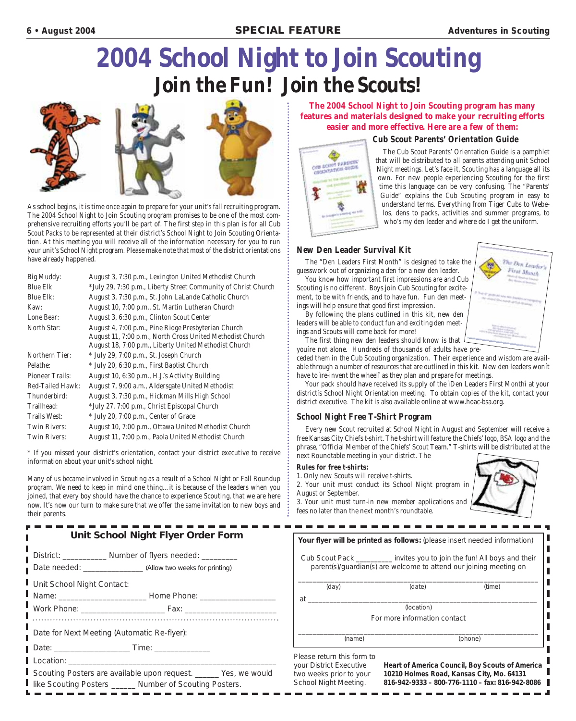# **2004 School Night to Join Scouting Join the Fun! Join the Scouts!**



As school begins, it is time once again to prepare for your unit's fall recruiting program. The 2004 School Night to Join Scouting program promises to be one of the most comprehensive recruiting efforts you'll be part of. The first step in this plan is for all Cub Scout Packs to be represented at their district's School Night to Join Scouting Orientation. At this meeting you will receive all of the information necessary for you to run your unit's School Night program. Please make note that most of the district orientations have already happened.

| Big Muddy:          | August 3, 7:30 p.m., Lexington United Methodist Church                                                                                                                    |
|---------------------|---------------------------------------------------------------------------------------------------------------------------------------------------------------------------|
| <b>Blue Elk</b>     | *July 29, 7:30 p.m., Liberty Street Community of Christ Church                                                                                                            |
| Blue Elk:           | August 3, 7:30 p.m., St. John LaLande Catholic Church                                                                                                                     |
| Kaw:                | August 10, 7:00 p.m., St. Martin Lutheran Church                                                                                                                          |
| Lone Bear:          | August 3, 6:30 p.m., Clinton Scout Center                                                                                                                                 |
| North Star:         | August 4, 7:00 p.m., Pine Ridge Presbyterian Church<br>August 11, 7:00 p.m., North Cross United Methodist Church<br>August 18, 7:00 p.m., Liberty United Methodist Church |
| Northern Tier:      | * July 29, 7:00 p.m., St. Joseph Church                                                                                                                                   |
| Pelathe:            | * July 20, 6:30 p.m., First Baptist Church                                                                                                                                |
| Pioneer Trails:     | August 10, 6:30 p.m., H.J.'s Activity Building                                                                                                                            |
| Red-Tailed Hawk:    | August 7, 9:00 a.m., Aldersgate United Methodist                                                                                                                          |
| Thunderbird:        | August 3, 7:30 p.m., Hickman Mills High School                                                                                                                            |
| Trailhead:          | *July 27, 7:00 p.m., Christ Episcopal Church                                                                                                                              |
| Trails West:        | * July 20, 7:00 p.m., Center of Grace                                                                                                                                     |
| <b>Twin Rivers:</b> | August 10, 7:00 p.m., Ottawa United Methodist Church                                                                                                                      |
| <b>Twin Rivers:</b> | August 11, 7:00 p.m., Paola United Methodist Church                                                                                                                       |

\* If you missed your district's orientation, contact your district executive to receive information about your unit's school night.

Many of us became involved in Scouting as a result of a School Night or Fall Roundup program. We need to keep in mind one thing…it is because of the leaders when you joined, that every boy should have the chance to experience Scouting, that we are here now. It's now our turn to make sure that we offer the same invitation to new boys and their parents.

|                                                                                                                                                                                                                               | District: ______________ Number of flyers needed: _________                                                                   |
|-------------------------------------------------------------------------------------------------------------------------------------------------------------------------------------------------------------------------------|-------------------------------------------------------------------------------------------------------------------------------|
|                                                                                                                                                                                                                               | Date needed: ________________ (Allow two weeks for printing)                                                                  |
| Unit School Night Contact:                                                                                                                                                                                                    |                                                                                                                               |
|                                                                                                                                                                                                                               |                                                                                                                               |
|                                                                                                                                                                                                                               |                                                                                                                               |
|                                                                                                                                                                                                                               |                                                                                                                               |
|                                                                                                                                                                                                                               | Date for Next Meeting (Automatic Re-flyer):                                                                                   |
|                                                                                                                                                                                                                               |                                                                                                                               |
| Location: The contract of the contract of the contract of the contract of the contract of the contract of the contract of the contract of the contract of the contract of the contract of the contract of the contract of the |                                                                                                                               |
|                                                                                                                                                                                                                               | Scouting Posters are available upon request. ______ Yes, we would<br>like Scouting Posters ______ Number of Scouting Posters. |

**The 2004 School Night to Join Scouting program has many features and materials designed to make your recruiting efforts easier and more effective. Here are a few of them:**



#### **Cub Scout Parents' Orientation Guide**

The Cub Scout Parents' Orientation Guide is a pamphlet that will be distributed to all parents attending unit School Night meetings. Let's face it, Scouting has a language all its own. For new people experiencing Scouting for the first time this language can be very confusing. The "Parents' Guide" explains the Cub Scouting program in easy to understand terms. Everything from Tiger Cubs to Webelos, dens to packs, activities and summer programs, to who's my den leader and where do I get the uniform.

#### **New Den Leader Survival Kit**

The "Den Leaders First Month" is designed to take the guesswork out of organizing a den for a new den leader. You know how important first impressions are and Cub Scouting is no different. Boys join Cub Scouting for excite-

ment, to be with friends, and to have fun. Fun den meetings will help ensure that good first impression. By following the plans outlined in this kit, new den

leaders will be able to conduct fun and exciting den meet-



ings and Scouts will come back for more! The first thing new den leaders should know is that

youíre not alone. Hundreds of thousands of adults have preceded them in the Cub Scouting organization. Their experience and wisdom are available through a number of resources that are outlined in this kit. New den leaders wonít have to ìre-invent the wheelî as they plan and prepare for meetings.

Your pack should have received its supply of the ìDen Leaders First Monthî at your districtís School Night Orientation meeting. To obtain copies of the kit, contact your district executive. The kit is also available online at www.hoac-bsa.org.

#### **School Night Free T-Shirt Program**

Every new Scout recruited at School Night in August and September will receive a free Kansas City Chiefs t-shirt. The t-shirt will feature the Chiefs' logo, BSA logo and the phrase, "Official Member of the Chiefs' Scout Team." T-shirts will be distributed at the next Roundtable meeting in your district. The

#### **Rules for free t-shirts:**

School Night Meeting.

1. Only new Scouts will receive t-shirts.

2. Your unit must conduct its School Night program in August or September.

| . |  |  |                                                 |                                                       |  |
|---|--|--|-------------------------------------------------|-------------------------------------------------------|--|
|   |  |  |                                                 | 3. Your unit must turn-in new member applications and |  |
|   |  |  | fees no later than the next month's roundtable. |                                                       |  |

|                                                                                  |                                                                    | Your flyer will be printed as follows: (please insert needed information)                    |  |  |  |
|----------------------------------------------------------------------------------|--------------------------------------------------------------------|----------------------------------------------------------------------------------------------|--|--|--|
|                                                                                  | parent(s)/guardian(s) are welcome to attend our joining meeting on | Cub Scout Pack ___________ invites you to join the fun! All boys and their                   |  |  |  |
| (day)                                                                            | (date)                                                             | (time)                                                                                       |  |  |  |
| at                                                                               |                                                                    |                                                                                              |  |  |  |
| (location)                                                                       |                                                                    |                                                                                              |  |  |  |
|                                                                                  | For more information contact                                       |                                                                                              |  |  |  |
| (name)                                                                           |                                                                    | (phone)                                                                                      |  |  |  |
| Please return this form to<br>your District Executive<br>two weeks prior to your |                                                                    | Heart of America Council, Boy Scouts of America<br>10210 Holmes Road, Kansas City, Mo. 64131 |  |  |  |

**816-942-9333 – 800-776-1110 – fax: 816-942-8086**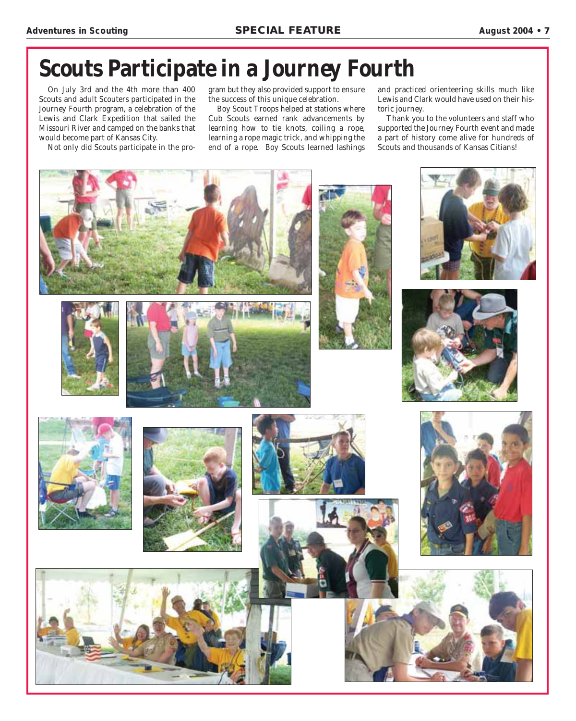# **Scouts Participate in a Journey Fourth**

On July 3rd and the 4th more than 400 Scouts and adult Scouters participated in the Journey Fourth program, a celebration of the Lewis and Clark Expedition that sailed the Missouri River and camped on the banks that would become part of Kansas City.

Not only did Scouts participate in the pro-

gram but they also provided support to ensure the success of this unique celebration.

Boy Scout Troops helped at stations where Cub Scouts earned rank advancements by learning how to tie knots, coiling a rope, learning a rope magic trick, and whipping the end of a rope. Boy Scouts learned lashings

and practiced orienteering skills much like Lewis and Clark would have used on their historic journey.

Thank you to the volunteers and staff who supported the Journey Fourth event and made a part of history come alive for hundreds of Scouts and thousands of Kansas Citians!

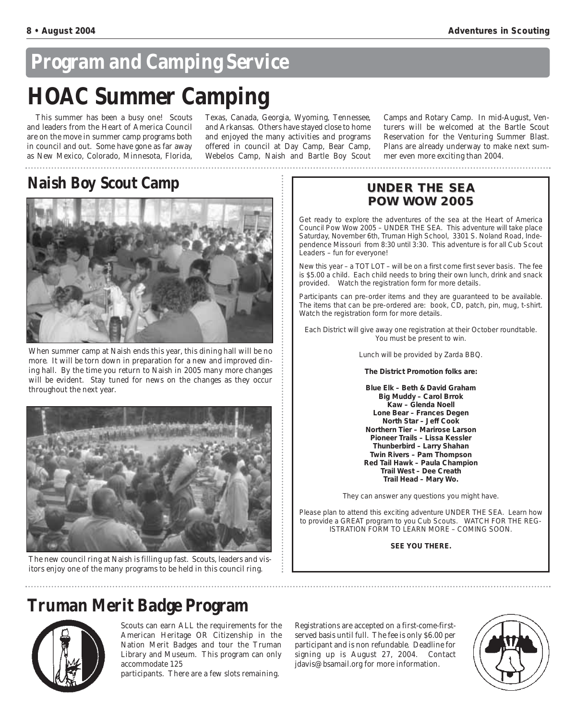# **Program and Camping Service**

# **HOAC Summer Camping**

This summer has been a busy one! Scouts and leaders from the Heart of America Council are on the move in summer camp programs both in council and out. Some have gone as far away as New Mexico, Colorado, Minnesota, Florida, Texas, Canada, Georgia, Wyoming, Tennessee, and Arkansas. Others have stayed close to home and enjoyed the many activities and programs offered in council at Day Camp, Bear Camp, Webelos Camp, Naish and Bartle Boy Scout

Camps and Rotary Camp. In mid-August, Venturers will be welcomed at the Bartle Scout Reservation for the Venturing Summer Blast. Plans are already underway to make next summer even more exciting than 2004.

## **Naish Boy Scout Camp**



When summer camp at Naish ends this year, this dining hall will be no more. It will be torn down in preparation for a new and improved dining hall. By the time you return to Naish in 2005 many more changes will be evident. Stay tuned for news on the changes as they occur throughout the next year.



The new council ring at Naish is filling up fast. Scouts, leaders and visitors enjoy one of the many programs to be held in this council ring.

## **UNDER THE SEA UNDER THE SEA POW WOW 2005 POW WOW 2005**

Get ready to explore the adventures of the sea at the Heart of America Council Pow Wow 2005 – UNDER THE SEA. This adventure will take place Saturday, November 6th, Truman High School, 3301 S. Noland Road, Independence Missouri from 8:30 until 3:30. This adventure is for all Cub Scout Leaders – fun for everyone!

New this year – a TOT LOT – will be on a first come first sever basis. The fee is \$5.00 a child. Each child needs to bring their own lunch, drink and snack provided. Watch the registration form for more details.

Participants can pre-order items and they are guaranteed to be available. The items that can be pre-ordered are: book, CD, patch, pin, mug, t-shirt. Watch the registration form for more details.

Each District will give away one registration at their October roundtable. You must be present to win.

Lunch will be provided by Zarda BBQ.

**The District Promotion folks are:**

**Blue Elk – Beth & David Graham Big Muddy – Carol Brrok Kaw – Glenda Noell Lone Bear – Frances Degen North Star – Jeff Cook Northern Tier – Marirose Larson Pioneer Trails – Lissa Kessler Thunberbird – Larry Shahan Twin Rivers – Pam Thompson Red Tail Hawk – Paula Champion Trail West – Dee Creath Trail Head – Mary Wo.**

They can answer any questions you might have.

Please plan to attend this exciting adventure UNDER THE SEA. Learn how to provide a GREAT program to you Cub Scouts. WATCH FOR THE REG-ISTRATION FORM TO LEARN MORE – COMING SOON.

**SEE YOU THERE.**

# **Truman Merit Badge Program**



Scouts can earn ALL the requirements for the American Heritage OR Citizenship in the Nation Merit Badges and tour the Truman Library and Museum. This program can only accommodate 125

participants. There are a few slots remaining.

Registrations are accepted on a first-come-firstserved basis until full. The fee is only \$6.00 per participant and is non refundable. Deadline for signing up is August 27, 2004. Contact jdavis@bsamail.org for more information.

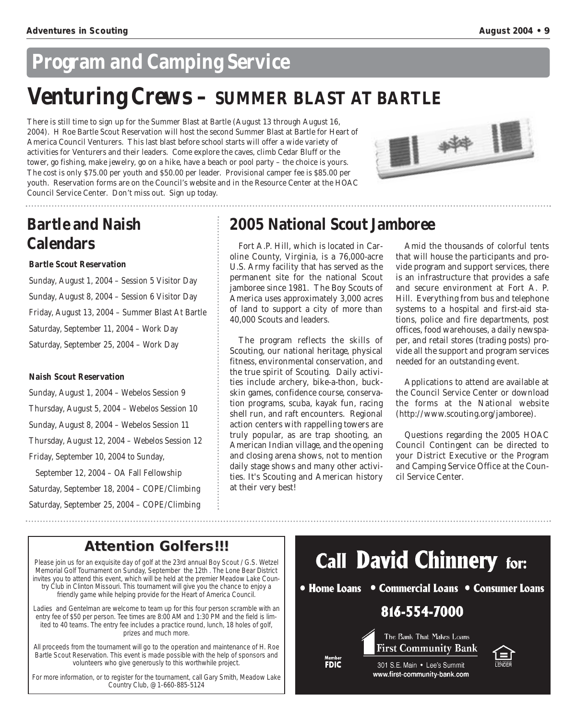# **Program and Camping Service**

# **Venturing Crews – SUMMER BLAST AT BARTLE**

There is still time to sign up for the Summer Blast at Bartle (August 13 through August 16, 2004). H Roe Bartle Scout Reservation will host the second Summer Blast at Bartle for Heart of America Council Venturers. This last blast before school starts will offer a wide variety of activities for Venturers and their leaders. Come explore the caves, climb Cedar Bluff or the tower, go fishing, make jewelry, go on a hike, have a beach or pool party – the choice is yours. The cost is only \$75.00 per youth and \$50.00 per leader. Provisional camper fee is \$85.00 per youth. Reservation forms are on the Council's website and in the Resource Center at the HOAC Council Service Center. Don't miss out. Sign up today.



# **Bartle and Naish Calendars** Fort A.P. Hill, which is located in Car-

#### **Bartle Scout Reservation**

Sunday, August 1, 2004 – Session 5 Visitor Day Sunday, August 8, 2004 – Session 6 Visitor Day Friday, August 13, 2004 – Summer Blast At Bartle Saturday, September 11, 2004 – Work Day Saturday, September 25, 2004 – Work Day

#### **Naish Scout Reservation**

Sunday, August 1, 2004 – Webelos Session 9 Thursday, August 5, 2004 – Webelos Session 10 Sunday, August 8, 2004 – Webelos Session 11 Thursday, August 12, 2004 – Webelos Session 12 Friday, September 10, 2004 to Sunday, September 12, 2004 – OA Fall Fellowship Saturday, September 18, 2004 – COPE/Climbing

Saturday, September 25, 2004 – COPE/Climbing

## **2005 National Scout Jamboree**

oline County, Virginia, is a 76,000-acre U.S. Army facility that has served as the permanent site for the national Scout jamboree since 1981. The Boy Scouts of America uses approximately 3,000 acres of land to support a city of more than 40,000 Scouts and leaders.

The program reflects the skills of Scouting, our national heritage, physical fitness, environmental conservation, and the true spirit of Scouting. Daily activities include archery, bike-a-thon, buckskin games, confidence course, conservation programs, scuba, kayak fun, racing shell run, and raft encounters. Regional action centers with rappelling towers are truly popular, as are trap shooting, an American Indian village, and the opening and closing arena shows, not to mention daily stage shows and many other activities. It's Scouting and American history at their very best!

Amid the thousands of colorful tents that will house the participants and provide program and support services, there is an infrastructure that provides a safe and secure environment at Fort A. P. Hill. Everything from bus and telephone systems to a hospital and first-aid stations, police and fire departments, post offices, food warehouses, a daily newspaper, and retail stores (trading posts) provide all the support and program services needed for an outstanding event.

Applications to attend are available at the Council Service Center or download the forms at the National website (http://www.scouting.org/jamboree).

Questions regarding the 2005 HOAC Council Contingent can be directed to your District Executive or the Program and Camping Service Office at the Council Service Center.

## **Attention Golfers!!! Attention Golfers!!!**

Please join us for an exquisite day of golf at the 23rd annual Boy Scout / G.S. Wetzel Memorial Golf Tournament on Sunday, September the 12th . The Lone Bear District invites you to attend this event, which will be held at the premier Meadow Lake Country Club in Clinton Missouri. This tournament will give you the chance to enjoy a friendly game while helping provide for the Heart of America Council.

Ladies and Gentelman are welcome to team up for this four person scramble with an entry fee of \$50 per person. Tee times are 8:00 AM and 1:30 PM and the field is limited to 40 teams. The entry fee includes a practice round, lunch, 18 holes of golf, prizes and much more.

All proceeds from the tournament will go to the operation and maintenance of H. Roe Bartle Scout Reservation. This event is made possible with the help of sponsors and volunteers who give generously to this worthwhile project.

For more information, or to register for the tournament, call Gary Smith, Meadow Lake Country Club, @ 1-660-885-5124

# **Call David Chinnery for:**

• Home Loans • Commercial Loans • Consumer Loans

## 816-554-7000





301 S.E. Main • Lee's Summit www.first-community-bank.com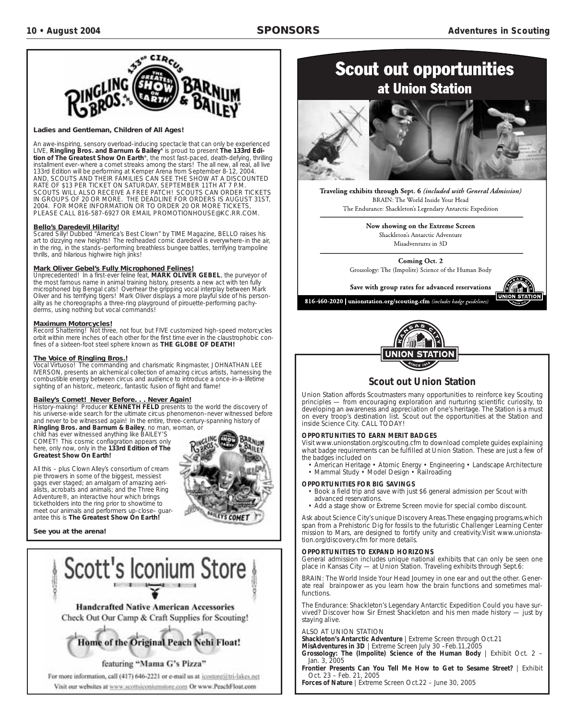N STAT



#### **Ladies and Gentleman, Children of All Ages!**

An awe-inspiring, sensory overload-inducing spectacle that can only be experienced LIVE, **Ringling Bros. and Barnum & Bailey®** is proud to present **The 133rd Edition of The Greatest Show On Earth®**, the most fast-paced, death-defying, thrilling installment ever–where a comet streaks among the stars! The all new, all real, all live 133rd Edition will be performing at Kemper Arena from September 8-12, 2004. AND, SCOUTS AND THEIR FAMILIES CAN SEE THE SHOW AT A DISCOUNTED RATE OF \$13 PER TICKET ON SATURDAY, SEPTEMBER 11TH AT 7 P.M. SCOUTS WILL ALSO RECEIVE A FREE PATCH! SCOUTS CAN ORDER TICKETS IN GROUPS OF 20 OR MORE. THE DEADLINE FOR ORDERS IS AUGUST 31ST, 2004. FOR MORE INFORMATION OR TO ORDER 20 OR MORE TICKETS, PLEASE CALL 816-587-6927 OR EMAIL PROMOTIONHOUSE@KC.RR.COM.

#### **Bello's Daredevil Hilarity!**

*Scared Silly!* Dubbed "America's Best Clown" by TIME Magazine, BELLO raises his art to dizzying new heights! The redheaded comic daredevil is everywhere–in the air, in the ring, in the stands–performing breathless bungee battles, terrifying trampoline thrills, and hilarious highwire high jinks!

#### **Mark Oliver Gebel's Fully Microphoned Felines!**

*Unprecedented!* In a first-ever feline feat, **MARK OLIVER GEBEL**, the purveyor of the most famous name in animal training history, presents a new act with ten fully microphoned big Bengal cats! Overhear the gripping vocal interplay between Mark Oliver and his terrifying tigers! Mark Oliver displays a more playful side of his personality as he choreographs a three-ring playground of pirouette-performing pachyderms, using nothing but vocal commands!

#### **Maximum Motorcycles!**

*Record Shattering!* Not three, not four, but FIVE customized high-speed motorcycles orbit within mere inches of each other for the first time ever in the claustrophobic confines of a sixteen-foot steel sphere known as **THE GLOBE OF DEATH!**

#### **The Voice of Ringling Bros.!**

Vocal Virtuoso! The commanding and charismatic Ringmaster, JOHNATHAN LEE IVERSON, presents an alchemical collection of amazing circus artists, harnessing the combustible energy between circus and audience to introduce a once-in-a-lifetime sighting of an historic, meteoric, fantastic fusion of flight and flame!

#### **Bailey's Comet! Never Before. . . Never Again!**

*History-making!* Producer **KENNETH FELD** presents to the world the discovery of his universe-wide search for the ultimate circus phenomenon–never witnessed before and never to be witnessed again! In the entire, three-century-spanning history of **Ringling Bros. and Barnum & Bailey**, no man, woman, or

child has ever witnessed anything like BAILEY'S COMET! This cosmic conflagration appears only here, only now, only in the **133rd Edition of The Greatest Show On Earth!**

All this – plus Clown Alley's consortium of cream pie throwers in some of the biggest, messiest gags ever staged; an amalgam of amazing aerialists, acrobats and animals; and the Three Ring Adventure®, an interactive hour which brings ticketholders into the ring prior to showtime to meet our animals and performers up-close– guarantee this is **The Greatest Show On Earth!**



**See you at the arena!**



## Visit our websites at www.scottsiconiumstore.com Or www.PeachFloat.com

## **Scout out opportunities** at Union Station



Traveling exhibits through Sept. 6 (included with General Admission) BRAIN: The World Inside Your Head The Endurance: Shackleton's Legendary Antarctic Expedition

> Now showing on the Extreme Screen Shackleton's Antarctic Adventure Misadventures in 3D

**Coming Oct. 2** Grossology: The (Impolite) Science of the Human Body

Save with group rates for advanced reservations

816-460-2020 | unionstation.org/scouting.cfm (includes badge guidelines)



#### **Scout out Union Station**

Union Station affords Scoutmasters many opportunities to reinforce key Scouting principles — from encouraging exploration and nurturing scientific curiosity, to developing an awareness and appreciation of one's heritage. The Station is a must on every troop's destination list. Scout out the opportunities at the Station and inside Science City. CALL TODAY!

#### **OPPORTUNITIES TO EARN MERIT BADGES**

Visit www.unionstation.org/scouting.cfm to download complete guides explaining what badge requirements can be fulfilled at Union Station. These are just a few of the badges included on

• American Heritage • Atomic Energy • Engineering • Landscape Architecture • Mammal Study • Model Design • Railroading

#### **OPPORTUNITIES FOR BIG SAVINGS**

- Book a field trip and save with just \$6 general admission per Scout with advanced reservations.
- Add a stage show or Extreme Screen movie for special combo discount.

Ask about Science City's unique Discovery Areas.These engaging programs,which span from a Prehistoric Dig for fossils to the futuristic Challenger Learning Center mission to Mars, are designed to fortify unity and creativity.Visit www.unionstation.org/discovery.cfm for more details.

#### **OPPORTUNITIES TO EXPAND HORIZONS**

General admission includes unique national exhibits that can only be seen one place in Kansas City — at Union Station. Traveling exhibits through Sept.6:

BRAIN: The World Inside Your Head Journey in one ear and out the other. Generate real brainpower as you learn how the brain functions and sometimes malfunctions.

The Endurance: Shackleton's Legendary Antarctic Expedition Could you have survived? Discover how Sir Ernest Shackleton and his men made history — just by staying alive.

#### ALSO AT UNION STATION

**Shackleton's Antarctic Adventure** | Extreme Screen through Oct.21 **MisAdventures in 3D** | Extreme Screen July 30 –Feb.11,2005

**Grossology: The (Impolite) Science of the Human Body** | Exhibit Oct. 2 – Jan. 3, 2005

**Frontier Presents Can You Tell Me How to Get to Sesame Street?** | Exhibit Oct. 23 – Feb. 21, 2005

**Forces of Nature** | Extreme Screen Oct.22 – June 30, 2005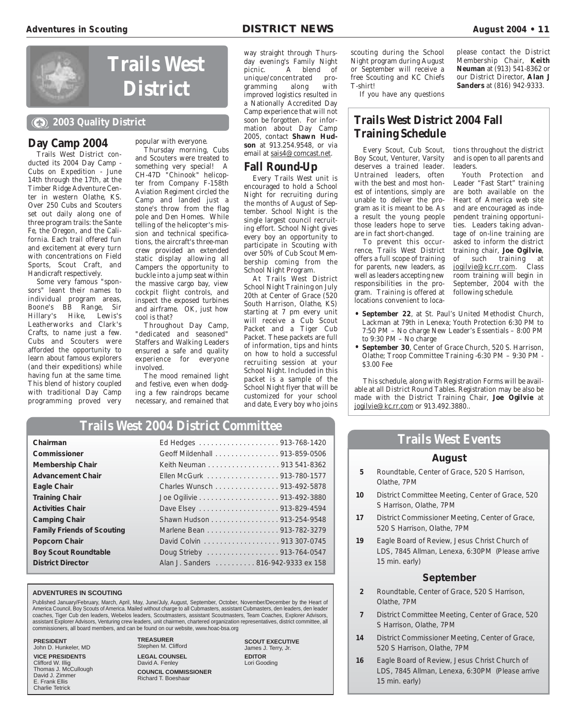

#### **2003 Quality District**

#### **Day Camp 2004**

Trails West District conducted its 2004 Day Camp - Cubs on Expedition - June 14th through the 17th, at the Timber Ridge Adventure Center in western Olathe, KS. Over 250 Cubs and Scouters set out daily along one of three program trails: the Sante Fe, the Oregon, and the California. Each trail offered fun and excitement at every turn with concentrations on Field Sports, Scout Craft, and Handicraft respectively.

Some very famous "sponsors" leant their names to individual program areas, Boone's BB Range, Sir Hillary's Hike, Lewis's Leatherworks and Clark's Crafts, to name just a few. Cubs and Scouters were afforded the opportunity to learn about famous explorers (and their expeditions) while having fun at the same time. This blend of history coupled with traditional Day Camp programming proved very

popular with everyone.

Thursday morning, Cubs and Scouters were treated to something very special! A CH-47D "Chinook" helicopter from Company F-158th Aviation Regiment circled the Camp and landed just a stone's throw from the flag pole and Den Homes. While telling of the helicopter's mission and technical specifications, the aircraft's three-man crew provided an extended static display allowing all Campers the opportunity to buckle into a jump seat within the massive cargo bay, view cockpit flight controls, and inspect the exposed turbines and airframe. OK, just how cool is that?

Throughout Day Camp, "dedicated and seasoned" Staffers and Walking Leaders ensured a safe and quality experience for everyone involved.

The mood remained light and festive, even when dodging a few raindrops became necessary, and remained that

#### way straight through Thursday evening's Family Night<br>picnic. A blend of A blend of unique/concentrated pro-<br>gramming along with gramming along with improved logistics resulted in a Nationally Accredited Day Camp experience that will not soon be forgotten. For information about Day Camp 2005, contact **Shawn Hudson** at 913.254.9548, or via email at sais4@comcast.net.

#### **Fall Round-Up**

Every Trails West unit is encouraged to hold a School Night for recruiting during the months of August of September. School Night is the single largest council recruiting effort. School Night gives every boy an opportunity to participate in Scouting with over 50% of Cub Scout Membership coming from the School Night Program.

At Trails West District School Night Training on July 20th at Center of Grace (520 South Harrison, Olathe, KS) starting at 7 pm every unit will receive a Cub Scout Packet and a Tiger Cub Packet. These packets are full of information, tips and hints on how to hold a successful recruiting session at your School Night. Included in this packet is a sample of the School Night flyer that will be customized for your school and date, Every boy who joins

scouting during the School Night program during August or September will receive a free Scouting and KC Chiefs T-shirt!

please contact the District Membership Chair, **Keith Neuman** at (913) 541-8362 or our District Director, **Alan J Sanders** at (816) 942-9333.

If you have any questions

## **Trails West District 2004 Fall Training Schedule**

Every Scout, Cub Scout, Boy Scout, Venturer, Varsity deserves a trained leader. Untrained leaders, often with the best and most honest of intentions, simply are unable to deliver the program as it is meant to be. As a result the young people those leaders hope to serve are in fact short-changed.

To prevent this occurrence, Trails West District offers a full scope of training for parents, new leaders, as well as leaders accepting new responsibilities in the program. Training is offered at locations convenient to locations throughout the district and is open to all parents and leaders.

Youth Protection and Leader "Fast Start" training are both available on the Heart of America web site and are encouraged as independent training opportunities. Leaders taking advantage of on-line training are asked to inform the district training chair, **Joe Ogilvie**, such training at jogilvie@kc.rr.com. Class room training will begin in September, 2004 with the following schedule.

- **September 22**, at St. Paul's United Methodist Church, Lackman at 79th in Lenexa; Youth Protection 6:30 PM to 7:50 PM – No charge New Leader's Essentials – 8:00 PM to 9:30 PM – No charge
- **September 30**, Center of Grace Church, 520 S. Harrison, Olathe; Troop Committee Training -6:30 PM – 9:30 PM - \$3.00 Fee

This schedule, along with Registration Forms will be available at all District Round Tables. Registration may be also be made with the District Training Chair, **Joe Ogilvie** at jogilvie@kc.rr.com or 913.492.3880..

## **Trails West 2004 District Committee**

| Chairman                          |                                     |
|-----------------------------------|-------------------------------------|
| Commissioner                      | Geoff Mildenhall 913-859-0506       |
| <b>Membership Chair</b>           | Keith Neuman 913 541-8362           |
| <b>Advancement Chair</b>          | Ellen McGurk 913-780-1577           |
| Eagle Chair                       | Charles Wunsch 913-492-5878         |
| <b>Training Chair</b>             |                                     |
| <b>Activities Chair</b>           |                                     |
| <b>Camping Chair</b>              | Shawn Hudson 913-254-9548           |
| <b>Family Friends of Scouting</b> | Marlene Bean 913-782-3279           |
| <b>Popcorn Chair</b>              |                                     |
| <b>Boy Scout Roundtable</b>       | Doug Strieby 913-764-0547           |
| <b>District Director</b>          | Alan J. Sanders 816-942-9333 ex 158 |

#### **ADVENTURES IN SCOUTING**

Published January/February, March, April, May, June/July, August, September, October, November/December by the Heart of America Council, Boy Scouts of America. Mailed without charge to all Cubmasters, assistant Cubmasters, den leaders, den leader coaches, Tiger Cub den leaders, Webelos leaders, Scoutmasters, assistant Scoutmasters, Team Coaches, Explorer Advisors, assistant Explorer Advisors, Venturing crew leaders, unit chairmen, chartered organization representatives, district committee, all commissioners, all board members, and can be found on our website, www.hoac-bsa.org

**PRESIDENT** John D. Hunkeler, MD

**VICE PRESIDENTS** Clifford W. Illig Thomas J. McCullough David J. Zimmer E. Frank Ellis Charlie Tetrick

**TREASURER** Stephen M. Clifford **LEGAL COUNSEL** David A. Fenley **COUNCIL COMMISSIONER**

Richard T. Boeshaar

**SCOUT EXECUTIVE** James J. Terry, Jr. **EDITOR** Lori Gooding

## **Trails West Events**

#### **August**

- **5** Roundtable, Center of Grace, 520 S Harrison, Olathe, 7PM
- **10** District Committee Meeting, Center of Grace, 520 S Harrison, Olathe, 7PM
- **17** District Commissioner Meeting, Center of Grace, 520 S Harrison, Olathe, 7PM
- **19** Eagle Board of Review, Jesus Christ Church of LDS, 7845 Allman, Lenexa, 6:30PM (Please arrive 15 min. early)

#### **September**

- **2** Roundtable, Center of Grace, 520 S Harrison, Olathe, 7PM
- **7** District Committee Meeting, Center of Grace, 520 S Harrison, Olathe, 7PM
- **14** District Commissioner Meeting, Center of Grace, 520 S Harrison, Olathe, 7PM
- **16** Eagle Board of Review, Jesus Christ Church of LDS, 7845 Allman, Lenexa, 6:30PM (Please arrive 15 min. early)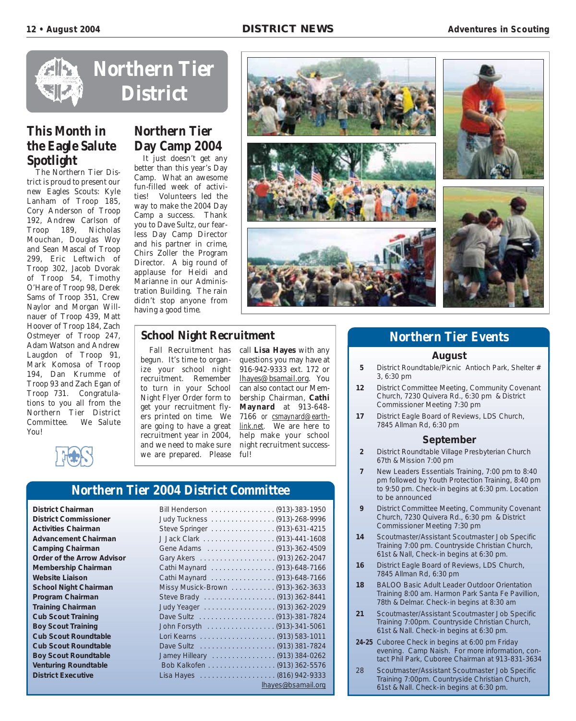

## **This Month in the Eagle Salute Spotlight**

The Northern Tier District is proud to present our new Eagles Scouts: Kyle Lanham of Troop 185, Cory Anderson of Troop 192, Andrew Carlson of Troop 189, Nicholas Mouchan, Douglas Woy and Sean Mascal of Troop 299, Eric Leftwich of Troop 302, Jacob Dvorak of Troop 54, Timothy O'Hare of Troop 98, Derek Sams of Troop 351, Crew Naylor and Morgan Willnauer of Troop 439, Matt Hoover of Troop 184, Zach Ostmeyer of Troop 247, Adam Watson and Andrew Laugdon of Troop 91, Mark Komosa of Troop 194, Dan Krumme of Troop 93 and Zach Egan of Troop 731. Congratulations to you all from the Northern Tier District Committee. We Salute Y<sub>ou</sub>!

## **Northern Tier Day Camp 2004**

It just doesn't get any better than this year's Day Camp. What an awesome fun-filled week of activities! Volunteers led the way to make the 2004 Day Camp a success. Thank you to Dave Sultz, our fearless Day Camp Director and his partner in crime, Chirs Zoller the Program Director. A big round of applause for Heidi and Marianne in our Administration Building. The rain didn't stop anyone from having a good time.

## **School Night Recruitment**

Fall Recruitment has begun. It's time to organize your school night recruitment. Remember to turn in your School Night Flyer Order form to get your recruitment flyers printed on time. We are going to have a great recruitment year in 2004, and we need to make sure we are prepared. Please

call **Lisa Hayes** with any questions you may have at 916-942-9333 ext. 172 or lhayes@bsamail.org. You can also contact our Membership Chairman, **Cathi Maynard** at 913-648- 7166 or csmaynard@earthlink.net. We are here to help make your school night recruitment successful!

## **Northern Tier 2004 District Committee**

**District Chairman District Commissioner Activities Chairman Advancement Chairman Camping Chairman Order of the Arrow Advisor Membership Chairman Website Liaison School Night Chairman Program Chairman Training Chairman Cub Scout Training Boy Scout Training Cub Scout Roundtable Cub Scout Roundtable Boy Scout Roundtable Venturing Roundtable District Executive** 

| Bill Henderson (913)-383-1950      |                    |
|------------------------------------|--------------------|
| Judy Tuckness (913)-268-9996       |                    |
| Steve Springer (913)-631-4215      |                    |
| J Jack Clark (913)-441-1608        |                    |
| Gene Adams (913)-362-4509          |                    |
|                                    |                    |
| Cathi Maynard (913)-648-7166       |                    |
| Cathi Maynard (913)-648-7166       |                    |
| Missy Musick-Brown  (913)-362-3633 |                    |
| Steve Brady (913) 362-8441         |                    |
| Judy Yeager (913) 362-2029         |                    |
|                                    |                    |
| John Forsyth (913)-341-5061        |                    |
|                                    |                    |
| Dave Sultz  (913) 381-7824         |                    |
| Jamey Hilleary  (913) 384-0262     |                    |
| Bob Kalkofen (913) 362-5576        |                    |
|                                    |                    |
| <u> Tanzania (</u>                 | lhayes@bsamail.org |
|                                    |                    |









## **Northern Tier Events**

#### **August**

- **5** District Roundtable/Picnic Antioch Park, Shelter # 3, 6:30 pm
- **12** District Committee Meeting, Community Covenant Church, 7230 Quivera Rd., 6:30 pm & District Commissioner Meeting 7:30 pm
- **17** District Eagle Board of Reviews, LDS Church, 7845 Allman Rd, 6:30 pm

#### **September**

- **2** District Roundtable Village Presbyterian Church 67th & Mission 7:00 pm
- **7** New Leaders Essentials Training, 7:00 pm to 8:40 pm followed by Youth Protection Training, 8:40 pm to 9:50 pm. Check-in begins at 6:30 pm. Location to be announced
- **9** District Committee Meeting, Community Covenant Church, 7230 Quivera Rd., 6:30 pm & District Commissioner Meeting 7:30 pm
- **14** Scoutmaster/Assistant Scoutmaster Job Specific Training 7:00 pm. Countryside Christian Church, 61st & Nall, Check-in begins at 6:30 pm.
- **16** District Eagle Board of Reviews, LDS Church, 7845 Allman Rd, 6:30 pm
- **18** BALOO Basic Adult Leader Outdoor Orientation Training 8:00 am. Harmon Park Santa Fe Pavillion, 78th & Delmar. Check-in begins at 8:30 am
- **21** Scoutmaster/Assistant Scoutmaster Job Specific Training 7:00pm. Countryside Christian Church, 61st & Nall. Check-in begins at 6:30 pm.
- **24-25** Cuboree Check in begins at 6:00 pm Friday evening. Camp Naish. For more information, contact Phil Park, Cuboree Chairman at 913-831-3634
- 28 Scoutmaster/Assistant Scoutmaster Job Specific Training 7:00pm. Countryside Christian Church, 61st & Nall. Check-in begins at 6:30 pm.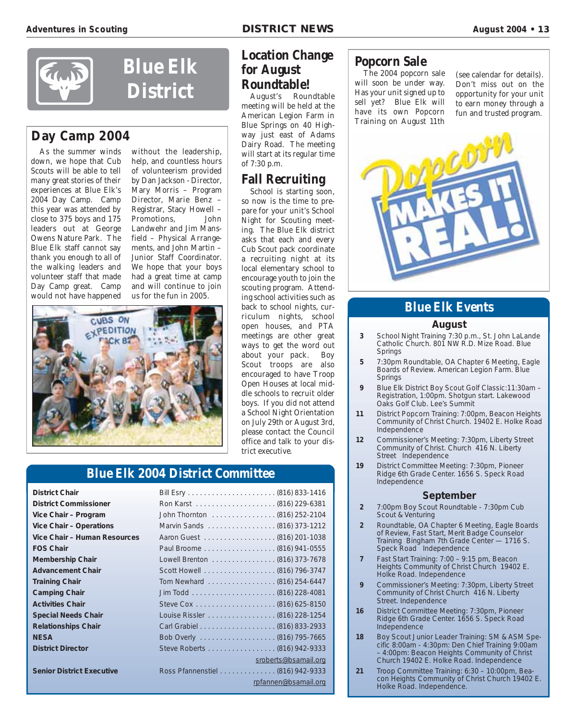

# **Blue Elk District**

## **Day Camp 2004**

As the summer winds down, we hope that Cub Scouts will be able to tell many great stories of their experiences at Blue Elk's 2004 Day Camp. Camp this year was attended by close to 375 boys and 175 leaders out at George Owens Nature Park. The Blue Elk staff cannot say thank you enough to all of the walking leaders and volunteer staff that made Day Camp great. Camp would not have happened

without the leadership, help, and countless hours of volunteerism provided by Dan Jackson - Director, Mary Morris – Program Director, Marie Benz – Registrar, Stacy Howell – Promotions, John Landwehr and Jim Mansfield – Physical Arrangements, and John Martin – Junior Staff Coordinator. We hope that your boys had a great time at camp and will continue to join us for the fun in 2005.



## **Location Change for August Roundtable!**

August's Roundtable meeting will be held at the American Legion Farm in Blue Springs on 40 Highway just east of Adams Dairy Road. The meeting will start at its regular time of 7:30 p.m.

## **Fall Recruiting**

School is starting soon, so now is the time to prepare for your unit's School Night for Scouting meeting. The Blue Elk district asks that each and every Cub Scout pack coordinate a recruiting night at its local elementary school to encourage youth to join the scouting program. Attending school activities such as back to school nights, curriculum nights, school open houses, and PTA meetings are other great ways to get the word out about your pack. Boy Scout troops are also encouraged to have Troop Open Houses at local middle schools to recruit older boys. If you did not attend a School Night Orientation on July 29th or August 3rd, please contact the Council office and talk to your district executive.

## **Blue Elk 2004 District Committee**

| <b>District Chair</b>            |                                  |
|----------------------------------|----------------------------------|
| <b>District Commissioner</b>     |                                  |
| Vice Chair - Program             | John Thornton (816) 252-2104     |
| <b>Vice Chair - Operations</b>   | Marvin Sands (816) 373-1212      |
| Vice Chair - Human Resources     | Aaron Guest (816) 201-1038       |
| <b>FOS Chair</b>                 | Paul Broome (816) 941-0555       |
| <b>Membership Chair</b>          | Lowell Brenton (816) 373-7678    |
| <b>Advancement Chair</b>         |                                  |
| <b>Training Chair</b>            | Tom Newhard (816) 254-6447       |
| <b>Camping Chair</b>             |                                  |
| <b>Activities Chair</b>          |                                  |
| <b>Special Needs Chair</b>       | Louise Rissler (816) 228-1254    |
| <b>Relationships Chair</b>       |                                  |
| <b>NESA</b>                      |                                  |
| <b>District Director</b>         | Steve Roberts (816) 942-9333     |
|                                  | sroberts@bsamail.org             |
| <b>Senior District Executive</b> | Ross Pfannenstiel (816) 942-9333 |
|                                  | rpfannen@bsamail.org             |
|                                  |                                  |

## **Popcorn Sale**

The 2004 popcorn sale will soon be under way. Has your unit signed up to sell yet? Blue Elk will have its own Popcorn Training on August 11th

(see calendar for details). Don't miss out on the opportunity for your unit to earn money through a fun and trusted program.



## **Blue Elk Events**

#### **August**

- **3** School Night Training 7:30 p.m., St. John LaLande Catholic Church. 801 NW R.D. Mize Road. Blue Springs
- **5** 7:30pm Roundtable, OA Chapter 6 Meeting, Eagle Boards of Review. American Legion Farm. Blue Springs
- **9** Blue Elk District Boy Scout Golf Classic:11:30am Registration, 1:00pm. Shotgun start. Lakewood Oaks Golf Club. Lee's Summit
- **11** District Popcorn Training: 7:00pm, Beacon Heights Community of Christ Church. 19402 E. Holke Road Independence
- **12** Commissioner's Meeting: 7:30pm, Liberty Street Community of Christ. Church 416 N. Liberty Street Independence
- **19** District Committee Meeting: 7:30pm, Pioneer Ridge 6th Grade Center. 1656 S. Speck Road Independence

#### **September**

- **2** 7:00pm Boy Scout Roundtable 7:30pm Cub Scout & Venturing
- **2** Roundtable, OA Chapter 6 Meeting, Eagle Boards of Review, Fast Start, Merit Badge Counselor Training Bingham 7th Grade Center — 1716 S. Speck Road Independence
- **7** Fast Start Training: 7:00 9:15 pm, Beacon Heights Community of Christ Church 19402 E. Holke Road. Independence
- **9** Commissioner's Meeting: 7:30pm, Liberty Street Community of Christ Church 416 N. Liberty Street. Independence
- **16** District Committee Meeting: 7:30pm, Pioneer Ridge 6th Grade Center. 1656 S. Speck Road Independence
- **18** Boy Scout Junior Leader Training: SM & ASM Specific 8:00am - 4:30pm: Den Chief Training 9:00am – 4:00pm: Beacon Heights Community of Christ Church 19402 E. Holke Road. Independence
- **21** Troop Committee Training: 6:30 10:00pm, Beacon Heights Community of Christ Church 19402 E. Holke Road. Independence.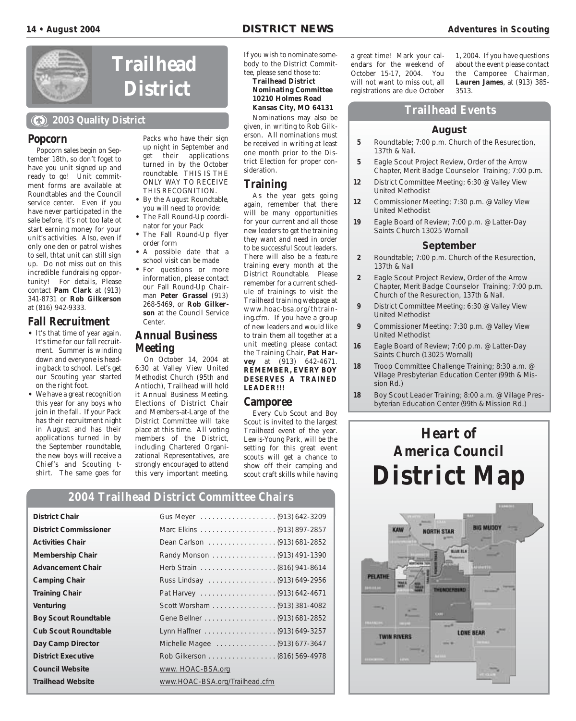

# **Trailhead District**

#### **2003 Quality District**

#### **Popcorn**

Popcorn sales begin on September 18th, so don't foget to have you unit signed up and ready to go! Unit commitment forms are available at Roundtables and the Council service center. Even if you have never participated in the sale before, it's not too late ot start earning money for your unit's activities. Also, even if only one den or patrol wishes to sell, thtat unit can still sign up. Do not miss out on this incredible fundraising opportunity! For details, Please contact **Pam Clark** at (913) 341-8731 or **Rob Gilkerson** at (816) 942-9333.

## **Fall Recruitment**

- It's that time of year again. It's time for our fall recruitment. Summer is winding down and everyone is heading back to school. Let's get our Scouting year started on the right foot.
- We have a great recognition this year for any boys who join in the fall. If your Pack has their recruitment night in August and has their applications turned in by the September roundtable, the new boys will receive a Chief's and Scouting tshirt. The same goes for

#### Packs who have their sign up night in September and get their applications turned in by the October roundtable. THIS IS THE ONLY WAY TO RECEIVE THIS RECOGNITION.

- By the August Roundtable, you will need to provide:
- The Fall Round-Up coordinator for your Pack • The Fall Round-Up flyer
- order form
- A possible date that a school visit can be made
- For questions or more information, please contact our Fall Round-Up Chairman **Peter Grassel** (913) 268-5469, or **Rob Gilkerson** at the Council Service Center.

#### **Annual Business Meeting**

On October 14, 2004 at 6:30 at Valley View United Methodist Church (95th and Antioch), Trailhead will hold it Annual Business Meeting. Elections of District Chair and Members-at-Large of the District Committee will take place at this time. All voting members of the District, including Chartered Organizational Representatives, are strongly encouraged to attend this very important meeting.

If you wish to nominate somebody to the District Committee, please send those to:

#### **Trailhead District Nominating Committee 10210 Holmes Road Kansas City, MO 64131**

Nominations may also be given, in writing to Rob Gilkerson. All nominations must be received in writing at least one month prior to the District Election for proper consideration.

#### **Training**

As the year gets going again, remember that there will be many opportunities for your current and all those new leaders to get the training they want and need in order to be successful Scout leaders. There will also be a feature training every month at the District Roundtable. Please remember for a current schedule of trainings to visit the Trailhead training webpage at www.hoac-bsa.org/thtraining.cfm. If you have a group of new leaders and would like to train them all together at a unit meeting please contact the Training Chair, **Pat Harvey** at (913) 642-4671. **REMEMBER, EVERY BOY DESERVES A TRAINED LEADER!!!**

#### **Camporee**

Every Cub Scout and Boy Scout is invited to the largest Trailhead event of the year. Lewis-Young Park, will be the setting for this great event scouts will get a chance to show off their camping and scout craft skills while having a great time! Mark your calendars for the weekend of October 15-17, 2004. You will not want to miss out, all registrations are due October

1, 2004. If you have questions about the event please contact the Camporee Chairman, **Lauren James**, at (913) 385- 3513.

#### **Trailhead Events**

#### **August**

- **5** Roundtable; 7:00 p.m. Church of the Resurection, 137th & Nall.
- **5** Eagle Scout Project Review, Order of the Arrow Chapter, Merit Badge Counselor Training; 7:00 p.m.
- **12** District Committee Meeting; 6:30 @ Valley View United Methodist
- **12** Commissioner Meeting; 7:30 p.m. @ Valley View United Methodist
- **19** Eagle Board of Review; 7:00 p.m. @ Latter-Day Saints Church 13025 Wornall

#### **September**

- **2** Roundtable; 7:00 p.m. Church of the Resurection, 137th & Nall
- **2** Eagle Scout Project Review, Order of the Arrow Chapter, Merit Badge Counselor Training; 7:00 p.m. Church of the Resurection, 137th & Nall.
- **9** District Committee Meeting; 6:30 @ Valley View United Methodist
- **9** Commissioner Meeting; 7:30 p.m. @ Valley View United Methodist
- **16** Eagle Board of Review; 7:00 p.m. @ Latter-Day Saints Church (13025 Wornall)
- **18** Troop Committee Challenge Training; 8:30 a.m. @ Village Presbyterian Education Center (99th & Mission Rd.)
- **18** Boy Scout Leader Training; 8:00 a.m. @ Village Presbyterian Education Center (99th & Mission Rd.)

# **Heart of America Council District Map**



## **2004 Trailhead District Committee Chairs**

| <b>District Chair</b>        |                                |
|------------------------------|--------------------------------|
| <b>District Commissioner</b> |                                |
| <b>Activities Chair</b>      | Dean Carlson (913) 681-2852    |
| <b>Membership Chair</b>      | Randy Monson (913) 491-1390    |
| <b>Advancement Chair</b>     |                                |
| <b>Camping Chair</b>         | Russ Lindsay  (913) 649-2956   |
| <b>Training Chair</b>        |                                |
| Venturing                    | Scott Worsham (913) 381-4082   |
| <b>Boy Scout Roundtable</b>  |                                |
| <b>Cub Scout Roundtable</b>  |                                |
| Day Camp Director            | Michelle Magee (913) 677-3647  |
| <b>District Executive</b>    | Rob Gilkerson (816) 569-4978   |
| <b>Council Website</b>       | www. HOAC-BSA.org              |
| <b>Trailhead Website</b>     | www.HOAC-BSA.org/Trailhead.cfm |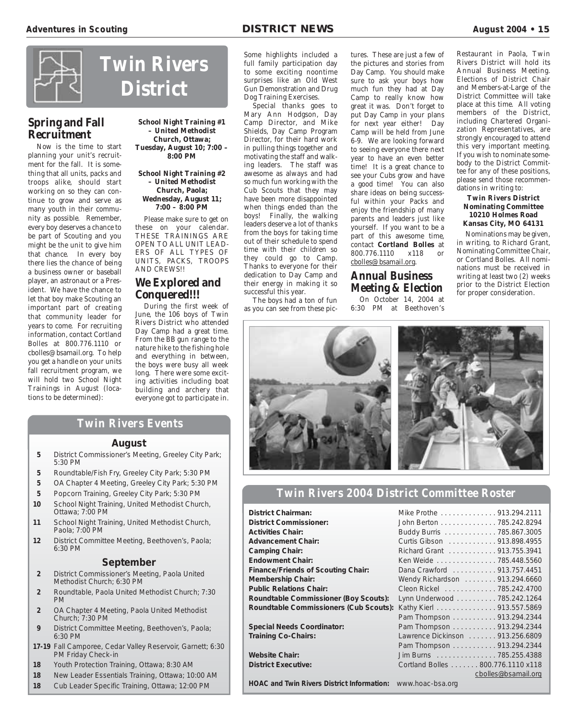

## **Spring and Fall Recruitment**

Now is the time to start planning your unit's recruitment for the fall. It is something that all units, packs and troops alike, should start working on so they can continue to grow and serve as many youth in their community as possible. Remember, every boy deserves a chance to be part of Scouting and you might be the unit to give him that chance. In every boy there lies the chance of being a business owner or baseball player, an astronaut or a President. We have the chance to let that boy make Scouting an important part of creating that community leader for years to come. For recruiting information, contact Cortland Bolles at 800.776.1110 or cbolles@bsamail.org. To help you get a handle on your units fall recruitment program, we will hold two School Night Trainings in August (locations to be determined):

5:30 PM

Ottawa; 7:00 PM

Paola; 7:00 PM

Church; 7:30 PM

PM Friday Check-in

Methodist Church; 6:30 PM

6:30 PM

PM

6:30 PM

**Twin Rivers District**

#### **School Night Training #1 – United Methodist Church, Ottawa; Tuesday, August 10; 7:00 – 8:00 PM**

**School Night Training #2 – United Methodist Church, Paola; Wednesday, August 11;**

## **7:00 – 8:00 PM**

Please make sure to get on these on your calendar. THESE TRAININGS ARE OPEN TO ALL UNIT LEAD-ERS OF ALL TYPES OF UNITS, PACKS, TROOPS AND CREWS!!

## **We Explored and Conquered!!!**

During the first week of June, the 106 boys of Twin Rivers District who attended Day Camp had a great time. From the BB gun range to the nature hike to the fishing hole and everything in between, the boys were busy all week long. There were some exciting activities including boat building and archery that everyone got to participate in.

Some highlights included a full family participation day to some exciting noontime surprises like an Old West Gun Demonstration and Drug Dog Training Exercises.

Special thanks goes to Mary Ann Hodgson, Day Camp Director, and Mike Shields, Day Camp Program Director, for their hard work in pulling things together and motivating the staff and walking leaders. The staff was awesome as always and had so much fun working with the Cub Scouts that they may have been more disappointed when things ended than the boys! Finally, the walking leaders deserve a lot of thanks from the boys for taking time out of their schedule to spend time with their children so they could go to Camp. Thanks to everyone for their dedication to Day Camp and their energy in making it so successful this year.

The boys had a ton of fun as you can see from these pic-

tures. These are just a few of the pictures and stories from Day Camp. You should make sure to ask your boys how much fun they had at Day Camp to really know how great it was. Don't forget to put Day Camp in your plans for next year either! Day Camp will be held from June 6-9. We are looking forward to seeing everyone there next year to have an even better time! It is a great chance to see your Cubs grow and have a good time! You can also share ideas on being successful within your Packs and enjoy the friendship of many parents and leaders just like yourself. If you want to be a part of this awesome time, contact **Cortland Bolles** at 800.776.1110 x118 or cbolles@bsamail.org.

## **Annual Business Meeting & Election**

On October 14, 2004 at 6:30 PM at Beethoven's Restaurant in Paola, Twin Rivers District will hold its Annual Business Meeting. Elections of District Chair and Members-at-Large of the District Committee will take place at this time. All voting members of the District, including Chartered Organization Representatives, are strongly encouraged to attend this very important meeting. If you wish to nominate somebody to the District Committee for any of these positions, please send those recommendations in writing to:

#### **Twin Rivers District Nominating Committee 10210 Holmes Road Kansas City, MO 64131**

Nominations may be given, in writing, to Richard Grant, Nominating Committee Chair, or Cortland Bolles. All nominations must be received in writing at least two (2) weeks prior to the District Election for proper consideration.

cbolles@bsamail.org



## **Twin Rivers 2004 District Committee Roster**

| <b>District Chairman:</b>                 | Mike Prothe 913.294.2111          |
|-------------------------------------------|-----------------------------------|
| <b>District Commissioner:</b>             | John Berton 785.242.8294          |
| <b>Activities Chair:</b>                  | Buddy Burris 785.867.3005         |
| <b>Advancement Chair:</b>                 | Curtis Gibson 913.898.4955        |
| <b>Camping Chair:</b>                     | Richard Grant 913.755.3941        |
| <b>Endowment Chair:</b>                   | Ken Weide 785.448.5560            |
| <b>Finance/Friends of Scouting Chair:</b> | Dana Crawford 913.757.4451        |
| <b>Membership Chair:</b>                  | Wendy Richardson 913.294.6660     |
| <b>Public Relations Chair:</b>            | Cleon Rickel  785.242.4700        |
| Roundtable Commissioner (Boy Scouts):     | Lynn Underwood 785.242.1264       |
| Roundtable Commissioners (Cub Scouts):    | Kathy Kierl 913.557.5869          |
|                                           | Pam Thompson 913.294.2344         |
| <b>Special Needs Coordinator:</b>         | Pam Thompson 913.294.2344         |
| <b>Training Co-Chairs:</b>                | Lawrence Dickinson  913.256.6809  |
|                                           | Pam Thompson 913.294.2344         |
| <b>Website Chair:</b>                     | Jim Burns 785.255.4388            |
| <b>District Executive:</b>                | Cortland Bolles 800.776.1110 x118 |

#### **18** Youth Protection Training, Ottawa; 8:30 AM

- **18** New Leader Essentials Training, Ottawa; 10:00 AM
- **18** Cub Leader Specific Training, Ottawa; 12:00 PM

**Twin Rivers Events**

**August 5** District Commissioner's Meeting, Greeley City Park;

 Roundtable/Fish Fry, Greeley City Park; 5:30 PM OA Chapter 4 Meeting, Greeley City Park; 5:30 PM Popcorn Training, Greeley City Park; 5:30 PM School Night Training, United Methodist Church,

**11** School Night Training, United Methodist Church,

**12** District Committee Meeting, Beethoven's, Paola;

**September 2** District Commissioner's Meeting, Paola United

**2** Roundtable, Paola United Methodist Church; 7:30

**2** OA Chapter 4 Meeting, Paola United Methodist

**9** District Committee Meeting, Beethoven's, Paola;

**17-19** Fall Camporee, Cedar Valley Reservoir, Garnett; 6:30

**HOAC and Twin Rivers District Information:** www.hoac-bsa.org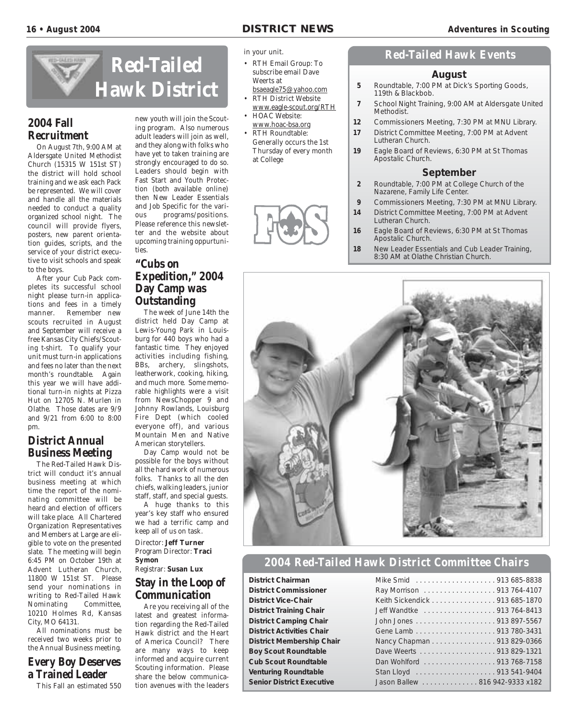

## **2004 Fall Recruitment**

On August 7th, 9:00 AM at Aldersgate United Methodist Church (15315 W 151st ST) the district will hold school training and we ask each Pack be represented. We will cover and handle all the materials needed to conduct a quality organized school night. The council will provide flyers, posters, new parent orientation guides, scripts, and the service of your district executive to visit schools and speak to the boys.

After your Cub Pack completes its successful school night please turn-in applications and fees in a timely<br>manner. Remember new Remember new scouts recruited in August and September will receive a free Kansas City Chiefs/Scouting t-shirt. To qualify your unit must turn-in applications and fees no later than the next month's roundtable. Again this year we will have additional turn-in nights at Pizza Hut on 12705 N. Murlen in Olathe. Those dates are 9/9 and 9/21 from 6:00 to 8:00 pm.

#### **District Annual Business Meeting**

The Red-Tailed Hawk District will conduct it's annual business meeting at which time the report of the nominating committee will be heard and election of officers will take place. All Chartered Organization Representatives and Members at Large are eligible to vote on the presented slate. The meeting will begin 6:45 PM on October 19th at Advent Lutheran Church, 11800 W 151st ST. Please send your nominations in writing to Red-Tailed Hawk Nominating Committee, 10210 Holmes Rd, Kansas City, MO 64131.

All nominations must be received two weeks prior to the Annual Business meeting.

#### **Every Boy Deserves a Trained Leader**

This Fall an estimated 550

new youth will join the Scouting program. Also numerous adult leaders will join as well, and they along with folks who have yet to taken training are strongly encouraged to do so. Leaders should begin with Fast Start and Youth Protection (both available online) then New Leader Essentials and Job Specific for the various programs/positions. Please reference this newsletter and the website about upcoming training oppurtunities.

## **"Cubs on Expedition," 2004 Day Camp was Outstanding**

The week of June 14th the district held Day Camp at Lewis-Young Park in Louisburg for 440 boys who had a fantastic time. They enjoyed activities including fishing, BBs, archery, slingshots, leatherwork, cooking, hiking, and much more. Some memorable highlights were a visit from NewsChopper 9 and Johnny Rowlands, Louisburg Fire Dept (which cooled everyone off), and various Mountain Men and Native American storytellers.

Day Camp would not be possible for the boys without all the hard work of numerous folks. Thanks to all the den chiefs, walking leaders, junior staff, staff, and special guests.

A huge thanks to this year's key staff who ensured we had a terrific camp and keep all of us on task.

#### Director: **Jeff Turner** Program Director: **Traci Symon**

Registrar: **Susan Lux**

## **Stay in the Loop of Communication**

Are you receiving all of the latest and greatest information regarding the Red-Tailed Hawk district and the Heart of America Council? There are many ways to keep informed and acquire current Scouting information. Please share the below communication avenues with the leaders

in your unit.

- RTH Email Group: To subscribe email Dave Weerts at
- bsaeagle75@yahoo.com • RTH District Website
- www.eagle-scout.org/RTH • HOAC Website:
- www.hoac-bsa.org • RTH Roundtable:
- Generally occurs the 1st Thursday of every month at College



#### **Red-Tailed Hawk Events**

#### **August**

- **5** Roundtable, 7:00 PM at Dick's Sporting Goods, 119th & Blackbob.
- **7** School Night Training, 9:00 AM at Aldersgate United Methodist.
- **12** Commissioners Meeting, 7:30 PM at MNU Library.
- **17** District Committee Meeting, 7:00 PM at Advent Lutheran Church.
- **19** Eagle Board of Reviews, 6:30 PM at St Thomas Apostalic Church.

#### **September**

- **2** Roundtable, 7:00 PM at College Church of the Nazarene, Family Life Center.
- **9** Commissioners Meeting, 7:30 PM at MNU Library.
- **14** District Committee Meeting, 7:00 PM at Advent Lutheran Church.
- **16** Eagle Board of Reviews, 6:30 PM at St Thomas Apostalic Church.
- **18** New Leader Essentials and Cub Leader Training, 8:30 AM at Olathe Christian Church.



## **2004 Red-Tailed Hawk District Committee Chairs**

**District Chairman District Commissioner District Vice-Chair District Training Chair District Camping Chair District Activities Chair District Membership Chair Boy Scout Roundtable Cub Scout Roundtable Venturing Roundtable Senior District Executive** 

| Ray Morrison 913 764-4107      |
|--------------------------------|
| Keith Sickendick 913 685-1870  |
| Jeff Wandtke 913 764-8413      |
|                                |
|                                |
| Nancy Chapman 913 829-0366     |
|                                |
| Dan Wohlford 913 768-7158      |
|                                |
| Jason Ballew 816 942-9333 x182 |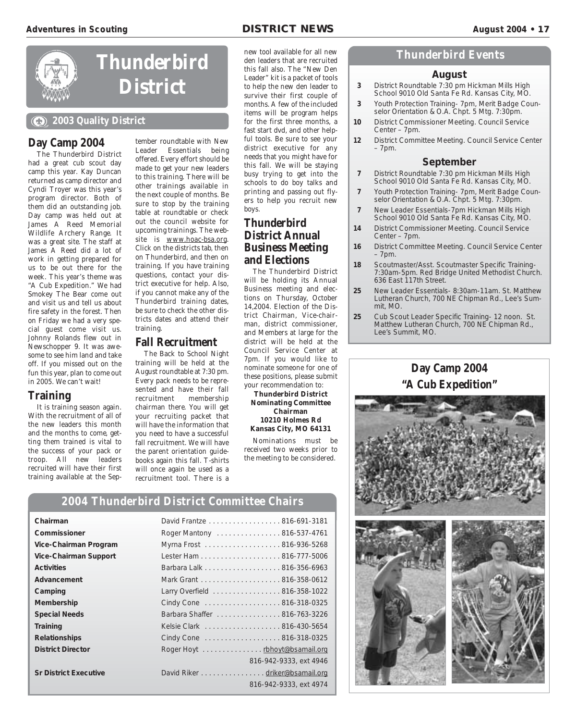

# **Thunderbird District**

#### **2003 Quality District**

#### **Day Camp 2004**

The Thunderbird District had a great cub scout day camp this year. Kay Duncan returned as camp director and Cyndi Troyer was this year's program director. Both of them did an outstanding job. Day camp was held out at James A Reed Memorial Wildlife Archery Range. It was a great site. The staff at James A Reed did a lot of work in getting prepared for us to be out there for the week. This year's theme was "A Cub Expedition." We had Smokey The Bear come out and visit us and tell us about fire safety in the forest. Then on Friday we had a very special guest come visit us. Johnny Rolands flew out in Newschopper 9. It was awesome to see him land and take off. If you missed out on the fun this year, plan to come out in 2005. We can't wait!

## **Training**

It is training season again. With the recruitment of all of the new leaders this month and the months to come, getting them trained is vital to the success of your pack or troop. All new leaders recruited will have their first training available at the Sep-

tember roundtable with New Leader Essentials being offered. Every effort should be made to get your new leaders to this training. There will be other trainings available in the next couple of months. Be sure to stop by the training table at roundtable or check out the council website for upcoming trainings. The website is www.hoac-bsa.org. Click on the districts tab, then on Thunderbird, and then on training. If you have training questions, contact your district executive for help. Also, if you cannot make any of the Thunderbird training dates, be sure to check the other districts dates and attend their training.

#### **Fall Recruitment**

The Back to School Night training will be held at the August roundtable at 7:30 pm. Every pack needs to be represented and have their fall recruitment membership chairman there. You will get your recruiting packet that will have the information that you need to have a successful fall recruitment. We will have the parent orientation guidebooks again this fall. T-shirts will once again be used as a recruitment tool. There is a new tool available for all new den leaders that are recruited this fall also. The "New Den Leader" kit is a packet of tools to help the new den leader to survive their first couple of months. A few of the included items will be program helps for the first three months, a fast start dvd, and other helpful tools. Be sure to see your district executive for any needs that you might have for this fall. We will be staying busy trying to get into the schools to do boy talks and printing and passing out flyers to help you recruit new boys.

## **Thunderbird District Annual Business Meeting and Elections**

The Thunderbird District will be holding its Annual Business meeting and elections on Thursday, October 14,2004. Election of the District Chairman, Vice-chairman, district commissioner, and Members at large for the district will be held at the Council Service Center at 7pm. If you would like to nominate someone for one of these positions, please submit your recommendation to:

#### **Thunderbird District Nominating Committee Chairman 10210 Holmes Rd Kansas City, MO 64131**

Nominations must be received two weeks prior to the meeting to be considered.

#### **Thunderbird Events**

#### **August**

- **3** District Roundtable 7:30 pm Hickman Mills High School 9010 Old Santa Fe Rd. Kansas City, MO.
- **3** Youth Protection Training- 7pm, Merit Badge Counselor Orientation & O.A. Chpt. 5 Mtg. 7:30pm.
- **10** District Commissioner Meeting. Council Service Center – 7pm.
- **12** District Committee Meeting. Council Service Center – 7pm.

#### **September**

- **7** District Roundtable 7:30 pm Hickman Mills High School 9010 Old Santa Fe Rd. Kansas City, MO.
- **7** Youth Protection Training- 7pm, Merit Badge Counselor Orientation & O.A. Chpt. 5 Mtg. 7:30pm.
- **7** New Leader Essentials-7pm Hickman Mills High School 9010 Old Santa Fe Rd. Kansas City, MO.
- **14** District Commissioner Meeting. Council Service Center – 7pm.
- **16** District Committee Meeting. Council Service Center – 7pm.
- **18** Scoutmaster/Asst. Scoutmaster Specific Training-7:30am-5pm. Red Bridge United Methodist Church. 636 East 117th Street.
- **25** New Leader Essentials- 8:30am-11am. St. Matthew Lutheran Church, 700 NE Chipman Rd., Lee's Summit, MO.
- **25** Cub Scout Leader Specific Training- 12 noon. St. Matthew Lutheran Church, 700 NE Chipman Rd., Lee's Summit, MO.



#### **2004 Thunderbird District Committee Chairs**

| Chairman                     | David Frantze 816-691-3181     |                        |
|------------------------------|--------------------------------|------------------------|
| Commissioner                 | Roger Mantony 816-537-4761     |                        |
| Vice-Chairman Program        | Myrna Frost 816-936-5268       |                        |
| <b>Vice-Chairman Support</b> |                                |                        |
| <b>Activities</b>            | Barbara Lalk 816-356-6963      |                        |
| Advancement                  |                                |                        |
| Camping                      | Larry Overfield 816-358-1022   |                        |
| Membership                   | Cindy Cone 816-318-0325        |                        |
| <b>Special Needs</b>         | Barbara Shaffer 816-763-3226   |                        |
| Training                     | Kelsie Clark 816-430-5654      |                        |
| <b>Relationships</b>         | Cindy Cone 816-318-0325        |                        |
| <b>District Director</b>     | Roger Hoyt rbhoyt@bsamail.org  |                        |
|                              |                                | 816-942-9333, ext 4946 |
| <b>Sr District Executive</b> | David Riker driker@bsamail.org |                        |
|                              |                                | 816-942-9333, ext 4974 |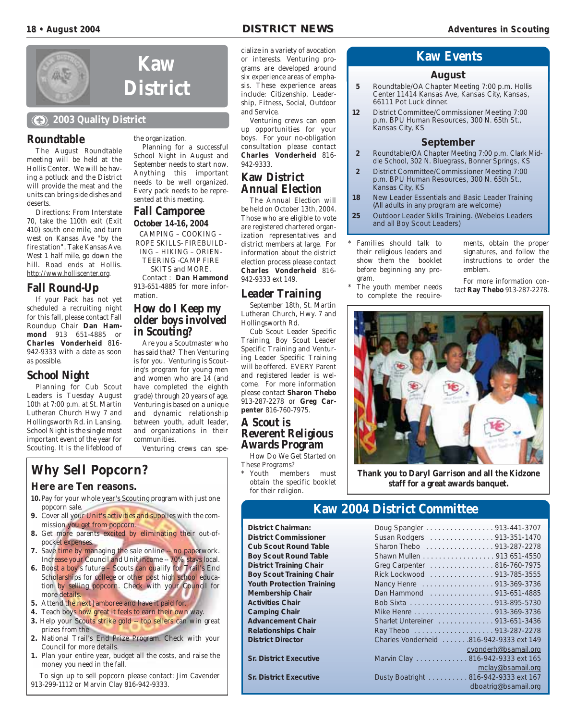**Kaw Events**

**August 5** Roundtable/OA Chapter Meeting 7:00 p.m. Hollis Center 11414 Kansas Ave, Kansas City, Kansas,

**12** District Committee/Commissioner Meeting 7:00 p.m. BPU Human Resources, 300 N. 65th St.,

**September 2** Roundtable/OA Chapter Meeting 7:00 p.m. Clark Middle School, 302 N. Bluegrass, Bonner Springs, KS

**2** District Committee/Commissioner Meeting 7:00 p.m. BPU Human Resources, 300 N. 65th St.,

**18** New Leader Essentials and Basic Leader Training (All adults in any program are welcome) **25** Outdoor Leader Skills Training. (Webelos Leaders



# **Kaw District**

#### **2003 Quality District**

#### **Roundtable**

The August Roundtable meeting will be held at the Hollis Center. We will be having a potluck and the District will provide the meat and the units can bring side dishes and deserts.

Directions: From Interstate 70, take the 110th exit (Exit 410) south one mile, and turn west on Kansas Ave "by the fire station". Take Kansas Ave. West 1 half mile, go down the hill. Road ends at Hollis. http://www.holliscenter.org.

## **Fall Round-Up**

If your Pack has not yet scheduled a recruiting night for this fall, please contact Fall Roundup Chair **Dan Hammond** 913 651-4885 or **Charles Vonderheid** 816- 942-9333 with a date as soon as possible.

#### **School Night**

Planning for Cub Scout Leaders is Tuesday August 10th at 7:00 p.m. at St. Martin Lutheran Church Hwy 7 and Hollingsworth Rd. in Lansing. School Night is the single most important event of the year for Scouting. It is the lifeblood of the organization.

Planning for a successful School Night in August and September needs to start now. Anything this important needs to be well organized. Every pack needs to be represented at this meeting.

#### **Fall Camporee October 14-16, 2004**

CAMPING – COOKING – ROPE SKILLS- FIREBUILD-ING – HIKING – ORIEN-

TEERING -CAMP FIRE SKITS and MORE. Contact : **Dan Hammond** 913-651-4885 for more information.

## **How do I Keep my older boys involved in Scouting?**

Are you a Scoutmaster who has said that? Then Venturing is for you. Venturing is Scouting's program for young men and women who are 14 (and have completed the eighth grade) through 20 years of age. Venturing is based on a unique and dynamic relationship between youth, adult leader, and organizations in their communities.

Venturing crews can spe-

## **Why Sell Popcorn?**

#### **Here are Ten reasons.**

- **10.**Pay for your whole year's Scouting program with just one popcorn sale.
- **9.** Cover all your Unit's activities and supplies with the commission you get from popcorn.
- **8.** Get more parents excited by eliminating their out-ofpocket expenses.
- **7.** Save time by managing the sale online -- no paperwork. Increase your Council and Unit income -- 70% stays local.
- **6.** Boost a boy's future Scouts can qualify for Trail's End Scholarships for college or other post high school education by selling popcorn. Check with your Council for more details.
- **5.** Attend the next Jamboree and have it paid for.
- **4.** Teach boys how great it feels to earn their own way.
- **3.** Help your Scouts strike gold -- top sellers can win great prizes from the
- **2.** National Trail's End Prize Program. Check with your Council for more details.
- **1.** Plan your entire year, budget all the costs, and raise the money you need in the fall.

To sign up to sell popcorn please contact: Jim Cavender 913-299-1112 or Marvin Clay 816-942-9333.

cialize in a variety of avocation or interests. Venturing programs are developed around six experience areas of emphasis. These experience areas include: Citizenship. Leadership, Fitness, Social, Outdoor and Service.

Venturing crews can open up opportunities for your boys. For your no-obligation consultation please contact **Charles Vonderheid** 816- 942-9333.

#### **Kaw District Annual Election**

The Annual Election will be held on October 13th, 2004. Those who are eligible to vote are registered chartered organization representatives and district members at large. For information about the district election process please contact **Charles Vonderheid** 816- 942-9333 ext 149.

#### **Leader Training**

September 18th, St. Martin Lutheran Church, Hwy. 7 and Hollingsworth Rd.

Cub Scout Leader Specific Training, Boy Scout Leader Specific Training and Venturing Leader Specific Training will be offered. EVERY Parent and registered leader is welcome. For more information please contact **Sharon Thebo** 913-287-2278 or **Greg Carpenter** 816-760-7975.

#### **A Scout is Reverent Religious Awards Program**

How Do We Get Started on These Programs?

Youth members must obtain the specific booklet for their religion.



The youth member needs to complete the requirements, obtain the proper signatures, and follow the instructions to order the emblem.

For more information contact **Ray Thebo** 913-287-2278.



**Thank you to Daryl Garrison and all the Kidzone staff for a great awards banquet.**

## **Kaw 2004 District Committee**

| <b>District Chairman:</b>        | Doug Spangler 913-441-3707              |
|----------------------------------|-----------------------------------------|
| <b>District Commissioner</b>     | Susan Rodgers 913-351-1470              |
| <b>Cub Scout Round Table</b>     | Sharon Thebo 913-287-2278               |
| <b>Boy Scout Round Table</b>     | Shawn Mullen 913 651-4550               |
| <b>District Training Chair</b>   | Greg Carpenter 816-760-7975             |
| <b>Boy Scout Training Chair</b>  | Rick Lockwood 913-785-3555              |
| <b>Youth Protection Training</b> | Nancy Henre 913-369-3736                |
| <b>Membership Chair</b>          | Dan Hammond 913-651-4885                |
| <b>Activities Chair</b>          |                                         |
| <b>Camping Chair</b>             |                                         |
| <b>Advancement Chair</b>         | Sharlet Untereiner 913-651-3436         |
| <b>Relationships Chair</b>       |                                         |
| <b>District Director</b>         | Charles Vonderheid 816-942-9333 ext 149 |
|                                  | cvonderh@bsamail.org                    |
| <b>Sr. District Executive</b>    | Marvin Clay 816-942-9333 ext 165        |
|                                  | mclay@bsamail.org                       |
| <b>Sr. District Executive</b>    | Dusty Boatright 816-942-9333 ext 167    |
|                                  | dboatrig@bsamail.org                    |

# gram.

and all Boy Scout Leaders)

66111 Pot Luck dinner.

Kansas City, KS

Kansas City, KS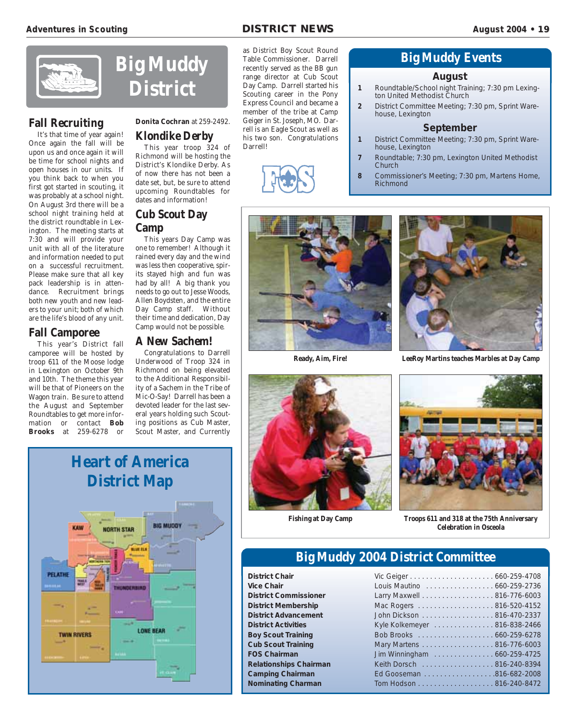

## **Fall Recruiting**

It's that time of year again! Once again the fall will be upon us and once again it will be time for school nights and open houses in our units. If you think back to when you first got started in scouting, it was probably at a school night. On August 3rd there will be a school night training held at the district roundtable in Lexington. The meeting starts at 7:30 and will provide your unit with all of the literature and information needed to put on a successful recruitment. Please make sure that all key pack leadership is in attendance. Recruitment brings both new youth and new leaders to your unit; both of which are the life's blood of any unit.

#### **Fall Camporee**

This year's District fall camporee will be hosted by troop 611 of the Moose lodge in Lexington on October 9th and 10th. The theme this year will be that of Pioneers on the Wagon train. Be sure to attend the August and September Roundtables to get more information or contact **Bob Brooks** at 259-6278 or

**Big Muddy District**

**Donita Cochran** at 259-2492.

## **Klondike Derby**

This year troop 324 of Richmond will be hosting the District's Klondike Derby. As of now there has not been a date set, but, be sure to attend upcoming Roundtables for dates and information!

## **Cub Scout Day Camp**

This years Day Camp was one to remember! Although it rained every day and the wind was less then cooperative, spirits stayed high and fun was had by all! A big thank you needs to go out to Jesse Woods, Allen Boydsten, and the entire Day Camp staff. Without their time and dedication, Day Camp would not be possible.

#### **A New Sachem!**

Congratulations to Darrell Underwood of Troop 324 in Richmond on being elevated to the Additional Responsibility of a Sachem in the Tribe of Mic-O-Say! Darrell has been a devoted leader for the last several years holding such Scouting positions as Cub Master, Scout Master, and Currently



as District Boy Scout Round Table Commissioner. Darrell recently served as the BB gun range director at Cub Scout Day Camp. Darrell started his Scouting career in the Pony Express Council and became a member of the tribe at Camp Geiger in St. Joseph, MO. Darrell is an Eagle Scout as well as his two son. Congratulations Darrell!



## **Big Muddy Events**

#### **August**

- **1** Roundtable/School night Training; 7:30 pm Lexington United Methodist Church
- **2** District Committee Meeting; 7:30 pm, Sprint Warehouse, Lexington

#### **September**

- **1** District Committee Meeting; 7:30 pm, Sprint Warehouse, Lexington
- **7** Roundtable; 7:30 pm, Lexington United Methodist Church
- **8** Commissioner's Meeting; 7:30 pm, Martens Home, Richmond







**Fishing at Day Camp Troops 611 and 318 at the 75th Anniversary Celebration in Osceola**

## **Big Muddy 2004 District Committee**

**District Chair Vice Chair District Commissioner District Membership District Advancement District Activities Boy Scout Training Cub Scout Training FOS Chairman Relationships Chairman Camping Chairman Nominating Charman** 

| Louis Mautino 660-259-2736   |  |
|------------------------------|--|
| Larry Maxwell 816-776-6003   |  |
| Mac Rogers 816-520-4152      |  |
| John Dickson 816-470-2337    |  |
| Kyle Kolkemeyer 816-838-2466 |  |
|                              |  |
| Mary Martens 816-776-6003    |  |
| Jim Winningham 660-259-4725  |  |
| Keith Dorsch 816-240-8394    |  |
|                              |  |
| Tom Hodson 816-240-8472      |  |
|                              |  |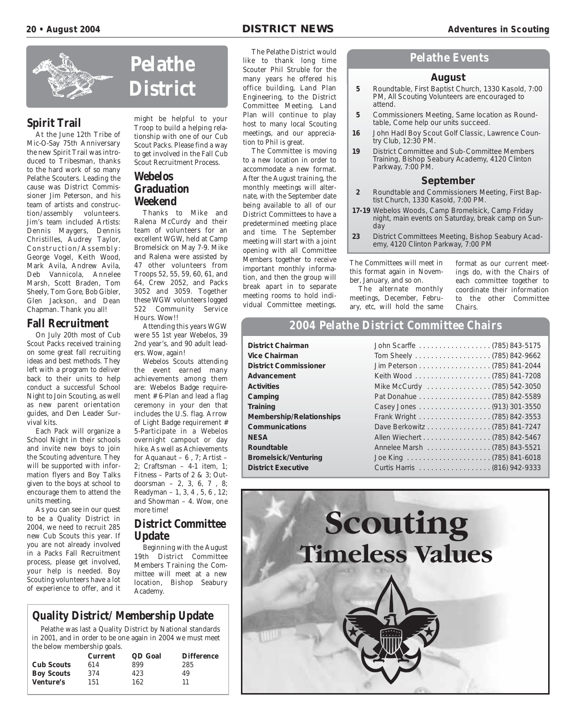

## **Spirit Trail**

At the June 12th Tribe of Mic-O-Say 75th Anniversary the new Spirit Trail was introduced to Tribesman, thanks to the hard work of so many Pelathe Scouters. Leading the cause was District Commissioner Jim Peterson, and his team of artists and construction/assembly volunteers. Jim's team included Artists: Dennis Maygers, Dennis Christilles, Audrey Taylor, Construction/Assembly: George Vogel, Keith Wood, Mark Avila, Andrew Avila, Deb Vannicola, Annelee Marsh, Scott Braden, Tom Sheely, Tom Gore, Bob Gibler, Glen Jackson, and Dean Chapman. Thank you all!

#### **Fall Recruitment**

On July 20th most of Cub Scout Packs received training on some great fall recruiting ideas and best methods. They left with a program to deliver back to their units to help conduct a successful School Night to Join Scouting, as well as new parent orientation guides, and Den Leader Survival kits.

Each Pack will organize a School Night in their schools and invite new boys to join the Scouting adventure. They will be supported with information flyers and Boy Talks given to the boys at school to encourage them to attend the units meeting.

As you can see in our quest to be a Quality District in 2004, we need to recruit 285 new Cub Scouts this year. If you are not already involved in a Packs Fall Recruitment process, please get involved, your help is needed. Boy Scouting volunteers have a lot of experience to offer, and it

# **Pelathe District**

might be helpful to your Troop to build a helping relationship with one of our Cub Scout Packs. Please find a way to get involved in the Fall Cub Scout Recruitment Process.

## **Webelos Graduation Weekend**

Thanks to Mike and Ralena McCurdy and their team of volunteers for an excellent WGW, held at Camp Bromelsick on May 7-9. Mike and Ralena were assisted by 47 other volunteers from Troops 52, 55, 59, 60, 61, and 64, Crew 2052, and Packs 3052 and 3059. Together these WGW volunteers logged 522 Community Service Hours. Wow!!

Attending this years WGW were 55 1st year Webelos, 39 2nd year's, and 90 adult leaders. Wow, again!

Webelos Scouts attending the event earned many achievements among them are: Webelos Badge requirement # 6-Plan and lead a flag ceremony in your den that includes the U.S. flag. Arrow of Light Badge requirement # 5-Participate in a Webelos overnight campout or day hike. As well as Achievements for Aquanaut – 6 , 7; Artist – 2; Craftsman – 4-1 item, 1; Fitness – Parts of 2 & 3; Outdoorsman – 2, 3, 6, 7 , 8; Readyman – 1, 3, 4 , 5, 6 , 12; and Showman – 4. Wow, one more time!

#### **District Committee Update**

Beginning with the August 19th District Committee Members Training the Committee will meet at a new location, Bishop Seabury Academy.

## **Quality District/ Membership Update**

Pelathe was last a Quality District by National standards in 2001, and in order to be one again in 2004 we must meet the below membership goals.

|                   | <b>Current</b> | QD Goal | <b>Difference</b> |
|-------------------|----------------|---------|-------------------|
| <b>Cub Scouts</b> | 614            | 899     | 285               |
| <b>Boy Scouts</b> | 374            | 423     | 49                |
| <b>Venture's</b>  | 151            | 162     | 11                |
|                   |                |         |                   |

The Pelathe District would like to thank long time Scouter Phil Struble for the many years he offered his office building, Land Plan Engineering, to the District Committee Meeting. Land Plan will continue to play host to many local Scouting meetings, and our appreciation to Phil is great.

The Committee is moving to a new location in order to accommodate a new format. After the August training, the monthly meetings will alternate, with the September date being available to all of our District Committees to have a predetermined meeting place and time. The September meeting will start with a joint opening with all Committee Members together to receive important monthly information, and then the group will break apart in to separate meeting rooms to hold individual Committee meetings.

#### **Pelathe Events**

#### **August**

- **5** Roundtable, First Baptist Church, 1330 Kasold, 7:00 PM, All Scouting Volunteers are encouraged to attend.
- **5** Commissioners Meeting, Same location as Roundtable, Come help our units succeed.
- **16** John Hadl Boy Scout Golf Classic, Lawrence Country Club, 12:30 PM.
- **19** District Committee and Sub-Committee Members Training, Bishop Seabury Academy, 4120 Clinton Parkway, 7:00 PM.

#### **September**

- **2** Roundtable and Commissioners Meeting, First Baptist Church, 1330 Kasold, 7:00 PM.
- **17-19** Webelos Woods, Camp Bromelsick, Camp Friday night, main events on Saturday, break camp on Sunday
- **23** District Committees Meeting, Bishop Seabury Academy, 4120 Clinton Parkway, 7:00 PM

The Committees will meet in this format again in November, January, and so on. The alternate monthly

meetings, December, February, etc, will hold the same

format as our current meetings do, with the Chairs of each committee together to coordinate their information to the other Committee Chairs.

## **2004 Pelathe District Committee Chairs**

| District Chairman            |  |
|------------------------------|--|
| Vice Chairman                |  |
| <b>District Commissioner</b> |  |
| Advancement                  |  |
| Activities                   |  |
| Camping                      |  |
| Training                     |  |
| Membership/Relationships     |  |
| Communications               |  |
| <b>NESA</b>                  |  |
| Roundtable                   |  |
| <b>Bromelsick/Venturing</b>  |  |
| <b>District Executive</b>    |  |
|                              |  |

| <b>District Chairman</b>        |                               |
|---------------------------------|-------------------------------|
| <b>Vice Chairman</b>            |                               |
| <b>District Commissioner</b>    |                               |
| Advancement                     |                               |
| <b>Activities</b>               | Mike McCurdy (785) 542-3050   |
| Camping                         |                               |
| Training                        |                               |
| <b>Membership/Relationships</b> |                               |
| <b>Communications</b>           | Dave Berkowitz (785) 841-7247 |
| <b>NESA</b>                     | Allen Wiechert (785) 842-5467 |
| Roundtable                      | Annelee Marsh (785) 843-5521  |
| <b>Bromelsick/Venturing</b>     |                               |
| <b>District Executive</b>       |                               |

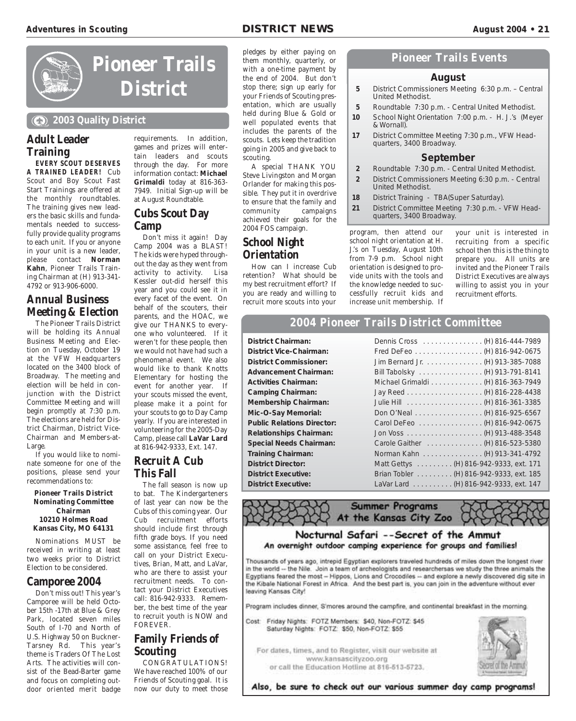#### **Adventur Adventures in Scouting es in Scouting DISTRICT NEWS DISTRICT NEWS August 2004 August 2004• 21**



# **Pioneer Trails District**

#### **2003 Quality District**

## **Adult Leader Training**

**EVERY SCOUT DESERVES A TRAINED LEADER!** Cub Scout and Boy Scout Fast Start Trainings are offered at the monthly roundtables. The training gives new leaders the basic skills and fundamentals needed to successfully provide quality programs to each unit. If you or anyone in your unit is a new leader, please contact **Norman Kahn**, Pioneer Trails Training Chairman at (H) 913-341- 4792 or 913-906-6000.

## **Annual Business Meeting & Election**

The Pioneer Trails District will be holding its Annual Business Meeting and Election on Tuesday, October 19 at the VFW Headquarters located on the 3400 block of Broadway. The meeting and election will be held in conjunction with the District Committee Meeting and will begin promptly at 7:30 p.m. The elections are held for District Chairman, District Vice-Chairman and Members-at-Large.

If you would like to nominate someone for one of the positions, please send your recommendations to:

#### **Pioneer Trails District Nominating Committee Chairman 10210 Holmes Road Kansas City, MO 64131**

Nominations MUST be received in writing at least two weeks prior to District Election to be considered.

#### **Camporee 2004**

Don't miss out! This year's Camporee will be held October 15th -17th at Blue & Grey Park, located seven miles South of I-70 and North of U.S. Highway 50 on Buckner-Tarsney Rd. This year's theme is Traders Of The Lost Arts. The activities will consist of the Bead-Barter game and focus on completing outdoor oriented merit badge

requirements. In addition, games and prizes will entertain leaders and scouts through the day. For more information contact: **Michael Grimaldi** today at 816-363- 7949. Initial Sign-up will be at August Roundtable.

#### **Cubs Scout Day Camp**

Don't miss it again! Day Camp 2004 was a BLAST! The kids were hyped throughout the day as they went from activity to activity. Lisa Kessler out-did herself this year and you could see it in every facet of the event. On behalf of the scouters, their parents, and the HOAC, we give our THANKS to everyone who volunteered. If it weren't for these people, then we would not have had such a phenomenal event. We also would like to thank Knotts Elementary for hosting the event for another year. If your scouts missed the event, please make it a point for your scouts to go to Day Camp yearly. If you are interested in volunteering for the 2005-Day Camp, please call **LaVar Lard** at 816-942-9333, Ext. 147.

## **Recruit A Cub This Fall**

The fall season is now up to bat. The Kindergarteners of last year can now be the Cubs of this coming year. Our Cub recruitment efforts should include first through fifth grade boys. If you need some assistance, feel free to call on your District Executives, Brian, Matt, and LaVar, who are there to assist your recruitment needs. To contact your District Executives call: 816-942-9333. Remember, the best time of the year to recruit youth is NOW and FOREVER.

#### **Family Friends of Scouting**

CONGRATULATIONS! We have reached 100% of our Friends of Scouting goal. It is now our duty to meet those

pledges by either paying on them monthly, quarterly, or with a one-time payment by the end of 2004. But don't stop there; sign up early for your Friends of Scouting presentation, which are usually held during Blue & Gold or well populated events that includes the parents of the scouts. Lets keep the tradition going in 2005 and give back to scouting.

A special THANK YOU Steve Livingston and Morgan Orlander for making this possible. They put it in overdrive to ensure that the family and community campaigns achieved their goals for the 2004 FOS campaign.

## **School Night Orientation**

How can I increase Cub retention? What should be my best recruitment effort? If you are ready and willing to recruit more scouts into your

#### **Pioneer Trails Events**

#### **August**

- **5** District Commissioners Meeting 6:30 p.m. Central United Methodist.
- **5** Roundtable 7:30 p.m. Central United Methodist.
- **10** School Night Orientation 7:00 p.m. H. J.'s (Meyer & Wornall).
- **17** District Committee Meeting 7:30 p.m., VFW Headquarters, 3400 Broadway.

#### **September**

- **2** Roundtable 7:30 p.m. Central United Methodist.
- **2** District Commissioners Meeting 6:30 p.m. Central United Methodist.
- **18** District Training TBA(Super Saturday).
- **21** District Committee Meeting 7:30 p.m. VFW Headquarters, 3400 Broadway.

program, then attend our school night orientation at H. J.'s on Tuesday, August 10th from 7-9 p.m. School night orientation is designed to provide units with the tools and the knowledge needed to successfully recruit kids and increase unit membership. If your unit is interested in recruiting from a specific school then this is the thing to prepare you. All units are invited and the Pioneer Trails District Executives are always willing to assist you in your recruitment efforts.

## **2004 Pioneer Trails District Committee**

**District Chairman: District Vice-Chairman: District Commissioner: Advancement Chairman: Activities Chairman: Camping Chairman: Membership Chairman: Mic-O-Say Memorial: Public Relations Director: Relationships Chairman: Special Needs Chairman: Training Chairman: District Director: District Executive: District Executive:** 

| Dennis Cross (H) 816-444-7989           |  |
|-----------------------------------------|--|
| Fred DeFeo (H) 816-942-0675             |  |
| Jim Bernard Jr. (H) 913-385-7088        |  |
| Bill Tabolsky (H) 913-791-8141          |  |
| Michael Grimaldi (H) 816-363-7949       |  |
|                                         |  |
|                                         |  |
| Don O'Neal (H) 816-925-6567             |  |
| Carol DeFeo (H) 816-942-0675            |  |
|                                         |  |
| Carole Gaither (H) 816-523-5380         |  |
| Norman Kahn (H) 913-341-4792            |  |
| Matt Gettys (H) 816-942-9333, ext. 171  |  |
| Brian Tobler (H) 816-942-9333, ext. 185 |  |
| LaVar Lard (H) 816-942-9333, ext. 147   |  |

**Summer Programs** At the Kansas City Zoo

#### Nocturnal Safari --Secret of the Ammut An overnight outdoor camping experience for groups and families!

Thousands of years ago, intrepid Egyptian explorers traveled hundreds of miles down the longest river in the world -- the Nile. Join a team of archeologists and researchersas we study the three animals the Egyptians feared the most - Hippos, Lions and Crocodiles -- and explore a newly discovered dig site in the Kibale National Forest in Africa. And the best part is, you can join in the adventure without ever leaving Kansas City!

Program includes dinner, S'mores around the campfire, and continental breakfast in the morning.

Cost: Friday Nights: FOTZ Members: \$40, Non-FOTZ: \$45 Saturday Nights: FOTZ: \$50, Non-FOTZ: \$55

For dates, times, and to Register, visit our website at www.kansascityzoo.org or call the Education Hotline at 816-513-5723.



Also, be sure to check out our various summer day camp programs!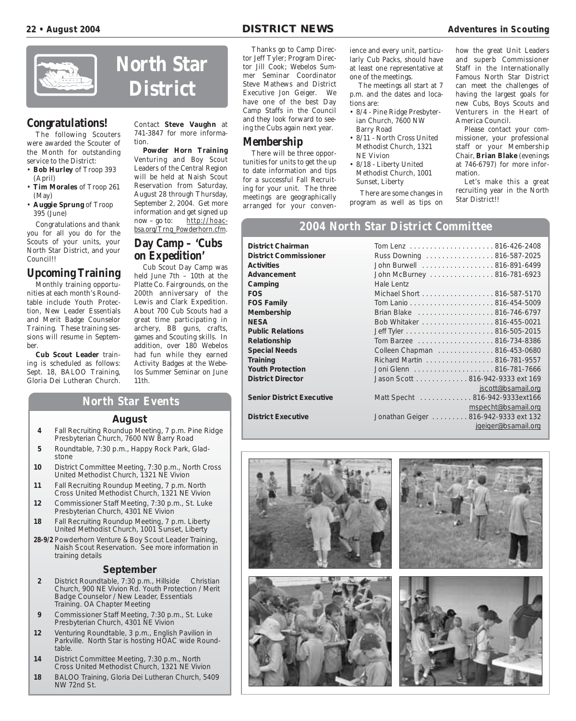

## **Congratulations!**

The following Scouters were awarded the Scouter of the Month for outstanding service to the District:

- **Bob Hurley** of Troop 393 (April)
- **Tim Morales** of Troop 261 (May)
- **Auggie Sprung** of Troop 395 (June)

Congratulations and thank you for all you do for the Scouts of your units, your North Star District, and your Council!!

## **Upcoming Training**

Monthly training opportunities at each month's Roundtable include Youth Protection, New Leader Essentials and Merit Badge Counselor Training. These training sessions will resume in September.

**Cub Scout Leader** training is scheduled as follows: Sept. 18, BALOO Training, Gloria Dei Lutheran Church.

#### Contact **Steve Vaughn** at 741-3847 for more information.

**Powder Horn Training** Venturing and Boy Scout Leaders of the Central Region will be held at Naish Scout Reservation from Saturday, August 28 through Thursday, September 2, 2004. Get more information and get signed up now – go to:  $\frac{http://hoac-}{http://hoac-}$ bsa.org/Trng\_Powderhorn.cfm.

#### **Day Camp – 'Cubs on Expedition'**

Cub Scout Day Camp was held June 7th – 10th at the Platte Co. Fairgrounds, on the 200th anniversary of the Lewis and Clark Expedition. About 700 Cub Scouts had a great time participating in archery, BB guns, crafts, games and Scouting skills. In addition, over 180 Webelos had fun while they earned Activity Badges at the Webelos Summer Seminar on June 11th.

#### **North Star Events**

#### **August**

- **4** Fall Recruiting Roundup Meeting, 7 p.m. Pine Ridge Presbyterian Church, 7600 NW Barry Road
- **5** Roundtable, 7:30 p.m., Happy Rock Park, Gladstone
- **10** District Committee Meeting, 7:30 p.m., North Cross United Methodist Church, 1321 NE Vivion
- **11** Fall Recruiting Roundup Meeting, 7 p.m. North Cross United Methodist Church, 1321 NE Vivion
- **12** Commissioner Staff Meeting, 7:30 p.m., St. Luke Presbyterian Church, 4301 NE Vivion
- **18** Fall Recruiting Roundup Meeting, 7 p.m. Liberty United Methodist Church, 1001 Sunset, Liberty
- **28-9/2** Powderhorn Venture & Boy Scout Leader Training, Naish Scout Reservation. See more information in training details

#### **September**

- **2** District Roundtable, 7:30 p.m., Hillside Christian Church, 900 NE Vivion Rd. Youth Protection / Merit Badge Counselor / New Leader, Essentials Training. OA Chapter Meeting
- **9** Commissioner Staff Meeting, 7:30 p.m., St. Luke Presbyterian Church, 4301 NE Vivion
- **12** Venturing Roundtable, 3 p.m., English Pavilion in Parkville. North Star is hosting HOAC wide Roundtable.
- **14** District Committee Meeting, 7:30 p.m., North Cross United Methodist Church, 1321 NE Vivion
- **18** BALOO Training, Gloria Dei Lutheran Church, 5409 NW 72nd St.

# Thanks go to Camp Direc-

tor Jeff Tyler; Program Director Jill Cook; Webelos Summer Seminar Coordinator Steve Mathews and District Executive Jon Geiger. We have one of the best Day Camp Staffs in the Council and they look forward to seeing the Cubs again next year.

#### **Membership**

There will be three opportunities for units to get the up to date information and tips for a successful Fall Recruiting for your unit. The three meetings are geographically arranged for your convenience and every unit, particularly Cub Packs, should have at least one representative at one of the meetings.

The meetings all start at 7 p.m. and the dates and locations are:

- 8/4 Pine Ridge Presbyterian Church, 7600 NW Barry Road
- 8/11 North Cross United Methodist Church, 1321 NE Vivion
- 8/18 Liberty United Methodist Church, 1001 Sunset, Liberty

There are some changes in program as well as tips on how the great Unit Leaders and superb Commissioner Staff in the Internationally Famous North Star District can meet the challenges of having the largest goals for new Cubs, Boys Scouts and Venturers in the Heart of America Council.

Please contact your commissioner, your professional staff or your Membership Chair, **Brian Blake** (evenings at 746-6797) for more information.

Let's make this a great recruiting year in the North Star District!!

#### **2004 North Star District Committee**

**District Chairman** Tom Lenz . . . . . . . . . . . . . . . . . . . . . 816-426-2408 **District Commissioner Advancement Camping FOS Family Membership Public Relations Relationship Special Needs Youth Protection District Director Senior District Executive** 

| <b>District Commissioner</b>     | Russ Downing 816-587-2025            |                     |
|----------------------------------|--------------------------------------|---------------------|
| Activities                       | John Burwell 816-891-6499            |                     |
| Advancement                      | John McBurney 816-781-6923           |                     |
| Camping                          | Hale Lentz                           |                     |
| <b>FOS</b>                       | Michael Short 816-587-5170           |                     |
| <b>FOS Family</b>                |                                      |                     |
| <b>Membership</b>                | Brian Blake 816-746-6797             |                     |
| NESA                             | Bob Whitaker 816-455-0021            |                     |
| <b>Public Relations</b>          |                                      |                     |
| Relationship                     |                                      |                     |
| <b>Special Needs</b>             | Colleen Chapman 816-453-0680         |                     |
| Training                         | Richard Martin 816-781-9557          |                     |
| <b>Youth Protection</b>          |                                      |                     |
| <b>District Director</b>         | Jason Scott 816-942-9333 ext 169     |                     |
|                                  |                                      | jscott@bsamail.org  |
| <b>Senior District Executive</b> | Matt Specht 816-942-9333ext166       |                     |
|                                  |                                      | mspecht@bsamail.org |
| <b>District Executive</b>        | Jonathan Geiger 816-942-9333 ext 132 |                     |
|                                  |                                      | jgeiger@bsamail.org |
|                                  |                                      |                     |

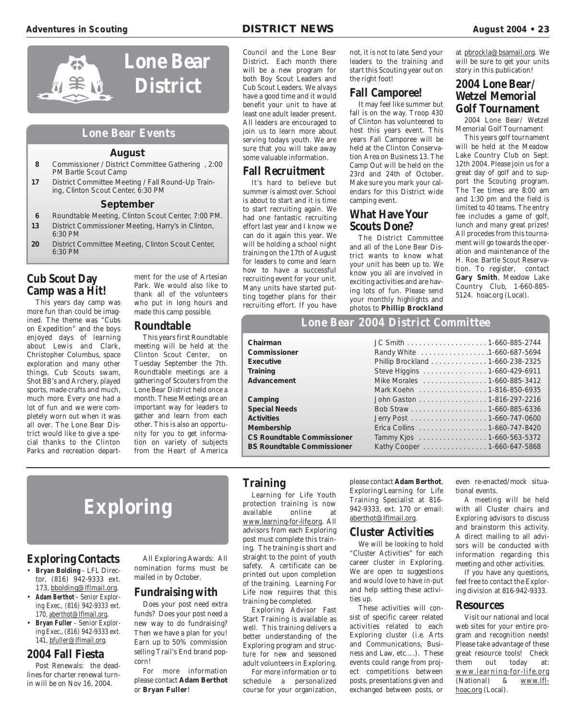

#### **Lone Bear Events**

#### **August**

- **8** Commissioner / District Committee Gathering , 2:00 PM Bartle Scout Camp
- **17** District Committee Meeting / Fall Round-Up Training, Clinton Scout Center, 6:30 PM

#### **September**

- **6** Roundtable Meeting, Clinton Scout Center, 7:00 PM.
- **13** District Commissioner Meeting, Harry's in Clinton, 6:30 PM
- **20** District Committee Meeting, Clinton Scout Center, 6:30 PM

#### **Cub Scout Day Camp was a Hit!**

This years day camp was more fun than could be imagined. The theme was "Cubs on Expedition" and the boys enjoyed days of learning about Lewis and Clark, Christopher Columbus, space exploration and many other things. Cub Scouts swam, Shot BB's and Archery, played sports, made crafts and much, much more. Every one had a lot of fun and we were completely worn out when it was all over. The Lone Bear District would like to give a special thanks to the Clinton Parks and recreation department for the use of Artesian Park. We would also like to thank all of the volunteers who put in long hours and made this camp possible.

#### **Roundtable**

This years first Roundtable meeting will be held at the Clinton Scout Center, on Tuesday September the 7th. Roundtable meetings are a gathering of Scouters from the Lone Bear District held once a month. These Meetings are an important way for leaders to gather and learn from each other. This is also an opportunity for you to get information on variety of subjects from the Heart of America

Council and the Lone Bear District. Each month there will be a new program for both Boy Scout Leaders and Cub Scout Leaders. We alvays have a good time and it would benefit your unit to have at least one adult leader present. All leaders are encouraged to join us to learn more about serving todays youth. We are sure that you will take away some valuable information.

## **Fall Recruitment**

It's hard to believe but summer is almost over. School is about to start and it is time to start recruiting again. We had one fantastic recruiting effort last year and I know we can do it again this year. We will be holding a school night training on the 17th of August for leaders to come and learn how to have a successful recruiting event for your unit. Many units have started putting together plans for their recruiting effort. If you have

not, it is not to late. Send your leaders to the training and start this Scouting year out on the right foot!

## **Fall Camporee!**

It may feel like summer but fall is on the way. Troop 430 of Clinton has volunteered to host this years event. This years Fall Camporee will be held at the Clinton Conservation Area on Business 13. The Camp Out will be held on the 23rd and 24th of October. Make sure you mark your calendars for this District wide camping event.

#### **What Have Your Scouts Done?**

The District Committee and all of the Lone Bear District wants to know what your unit has been up to. We know you all are involved in exciting activities and are having lots of fun. Please send your monthly highlights and photos to **Phillip Brockland**

at pbrockla@bsamail.org. We will be sure to get your units story in this publication!

#### **2004 Lone Bear/ Wetzel Memorial Golf Tournament**

2004 Lone Bear/ Wetzel Memorial Golf Tournament

This years golf tournament will be held at the Meadow Lake Country Club on Sept. 12th 2004. Please join us for a great day of golf and to support the Scouting program. The Tee times are 8:00 am and 1:30 pm and the field is limited to 40 teams. The entry fee includes a game of golf, lunch and many great prizes! All procedes from this tournament will go towards the operation and maintenance of the H. Roe. Bartle Scout Reservation. To register, contact **Gary Smith**, Meadow Lake Country Club, 1-660-885- 5124. hoac.org (Local).

## **Lone Bear 2004 District Committee**

| Chairman                          |                                  |
|-----------------------------------|----------------------------------|
| Commissioner                      | Randy White 1-660-687-5694       |
| Executive                         | Phillip Brockland 1-660-238-2325 |
| Training                          | Steve Higgins 1-660-429-6911     |
| Advancement                       | Mike Morales 1-660-885-3412      |
|                                   | Mark Koehn 1-816-850-6935        |
| Camping                           | John Gaston 1-816-297-2216       |
| <b>Special Needs</b>              |                                  |
| <b>Activities</b>                 |                                  |
| Membership                        | Erica Collins 1-660-747-8420     |
| <b>CS Roundtable Commissioner</b> | Tammy Kjos 1-660-563-5372        |
| <b>BS Roundtable Commissioner</b> | Kathy Cooper 1-660-647-5868      |

# **Exploring**

## **Exploring Contacts**

- **Bryan Bolding** LFL Director, (816) 942-9333 ext. 173, bbolding@lflmail.org.
- **Adam Berthot** Senior Exploring Exec., (816) 942-9333 ext. 170, aberthot@lflmail.org.
- **Bryan Fuller**  Senior Exploring Exec., (816) 942-9333 ext. 141, bfuller@lflmail.org.

#### **2004 Fall Fiesta**

Post Renewals: the deadlines for charter renewal turnin will be on Nov 16, 2004.

All Exploring Awards: All nomination forms must be mailed in by October.

## **Fundraising with**

Does your post need extra funds? Does your post need a new way to do fundraising? Then we have a plan for you! Earn up to 50% commission selling Trail's End brand popcorn!

For more information please contact **Adam Berthot** or **Bryan Fuller**!

## **Training**

Learning for Life Youth protection training is now<br>available online at available online at www.learning-for-life.org. All advisors from each Exploring post must complete this training. The training is short and straight to the point of youth safety. A certificate can be printed out upon completion of the training. Learning For Life now requires that this training be completed.

Exploring Advisor Fast Start Training is available as well. This training delivers a better understanding of the Exploring program and structure for new and seasoned adult volunteers in Exploring.

For more information or to schedule a personalized course for your organization,

please contact **Adam Berthot**, Exploring/Learning for Life Training Specialist at 816- 942-9333, ext. 170 or email: aberthot@lflmail.org.

#### **Cluster Activities**

We will be looking to hold "Cluster Activities" for each career cluster in Exploring. We are open to suggestions and would love to have in-put and help setting these activities up.

These activities will consist of specific career related activities related to each Exploring cluster (i.e. Arts and Communications, Business and Law, etc….). These events could range from project competitions between posts, presentations given and exchanged between posts, or

even re-enacted/mock situational events.

A meeting will be held with all Cluster chairs and Exploring advisors to discuss and brainstorm this activity. A direct mailing to all advisors will be conducted with information regarding this meeting and other activities.

If you have any questions, feel free to contact the Exploring division at 816-942-9333.

#### **Resources**

Visit our national and local web sites for your entire program and recognition needs! Please take advantage of these great resource tools! Check them out today at: www.learning-for-life.org (National) & www.lflhoac.org (Local).